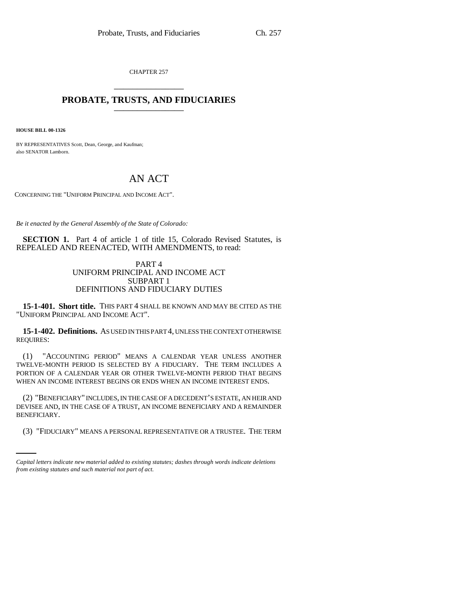CHAPTER 257 \_\_\_\_\_\_\_\_\_\_\_\_\_\_\_

## **PROBATE, TRUSTS, AND FIDUCIARIES** \_\_\_\_\_\_\_\_\_\_\_\_\_\_\_

**HOUSE BILL 00-1326** 

BY REPRESENTATIVES Scott, Dean, George, and Kaufman; also SENATOR Lamborn.

# AN ACT

CONCERNING THE "UNIFORM PRINCIPAL AND INCOME ACT".

*Be it enacted by the General Assembly of the State of Colorado:*

**SECTION 1.** Part 4 of article 1 of title 15, Colorado Revised Statutes, is REPEALED AND REENACTED, WITH AMENDMENTS, to read:

## PART 4 UNIFORM PRINCIPAL AND INCOME ACT SUBPART 1 DEFINITIONS AND FIDUCIARY DUTIES

**15-1-401. Short title.** THIS PART 4 SHALL BE KNOWN AND MAY BE CITED AS THE "UNIFORM PRINCIPAL AND INCOME ACT".

**15-1-402. Definitions.** AS USED IN THIS PART 4, UNLESS THE CONTEXT OTHERWISE REQUIRES:

(1) "ACCOUNTING PERIOD" MEANS A CALENDAR YEAR UNLESS ANOTHER TWELVE-MONTH PERIOD IS SELECTED BY A FIDUCIARY. THE TERM INCLUDES A PORTION OF A CALENDAR YEAR OR OTHER TWELVE-MONTH PERIOD THAT BEGINS WHEN AN INCOME INTEREST BEGINS OR ENDS WHEN AN INCOME INTEREST ENDS.

BENEFICIARY. (2) "BENEFICIARY" INCLUDES, IN THE CASE OF A DECEDENT'S ESTATE, AN HEIR AND DEVISEE AND, IN THE CASE OF A TRUST, AN INCOME BENEFICIARY AND A REMAINDER

(3) "FIDUCIARY" MEANS A PERSONAL REPRESENTATIVE OR A TRUSTEE. THE TERM

*Capital letters indicate new material added to existing statutes; dashes through words indicate deletions from existing statutes and such material not part of act.*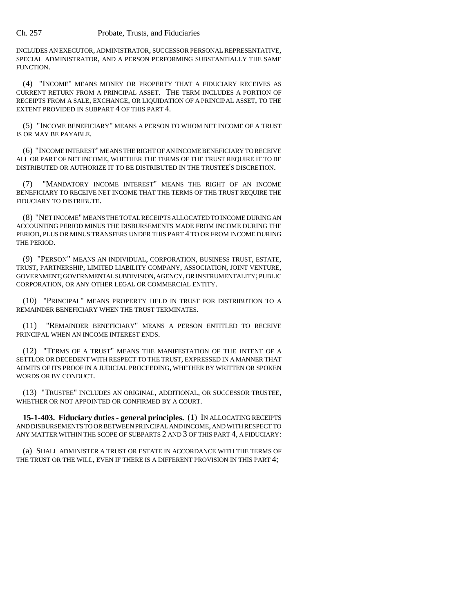INCLUDES AN EXECUTOR, ADMINISTRATOR, SUCCESSOR PERSONAL REPRESENTATIVE, SPECIAL ADMINISTRATOR, AND A PERSON PERFORMING SUBSTANTIALLY THE SAME FUNCTION.

(4) "INCOME" MEANS MONEY OR PROPERTY THAT A FIDUCIARY RECEIVES AS CURRENT RETURN FROM A PRINCIPAL ASSET. THE TERM INCLUDES A PORTION OF RECEIPTS FROM A SALE, EXCHANGE, OR LIQUIDATION OF A PRINCIPAL ASSET, TO THE EXTENT PROVIDED IN SUBPART 4 OF THIS PART 4.

(5) "INCOME BENEFICIARY" MEANS A PERSON TO WHOM NET INCOME OF A TRUST IS OR MAY BE PAYABLE.

(6) "INCOME INTEREST" MEANS THE RIGHT OF AN INCOME BENEFICIARY TO RECEIVE ALL OR PART OF NET INCOME, WHETHER THE TERMS OF THE TRUST REQUIRE IT TO BE DISTRIBUTED OR AUTHORIZE IT TO BE DISTRIBUTED IN THE TRUSTEE'S DISCRETION.

(7) "MANDATORY INCOME INTEREST" MEANS THE RIGHT OF AN INCOME BENEFICIARY TO RECEIVE NET INCOME THAT THE TERMS OF THE TRUST REQUIRE THE FIDUCIARY TO DISTRIBUTE.

(8) "NET INCOME" MEANS THE TOTAL RECEIPTS ALLOCATED TO INCOME DURING AN ACCOUNTING PERIOD MINUS THE DISBURSEMENTS MADE FROM INCOME DURING THE PERIOD, PLUS OR MINUS TRANSFERS UNDER THIS PART 4 TO OR FROM INCOME DURING THE PERIOD.

(9) "PERSON" MEANS AN INDIVIDUAL, CORPORATION, BUSINESS TRUST, ESTATE, TRUST, PARTNERSHIP, LIMITED LIABILITY COMPANY, ASSOCIATION, JOINT VENTURE, GOVERNMENT; GOVERNMENTAL SUBDIVISION, AGENCY, OR INSTRUMENTALITY; PUBLIC CORPORATION, OR ANY OTHER LEGAL OR COMMERCIAL ENTITY.

(10) "PRINCIPAL" MEANS PROPERTY HELD IN TRUST FOR DISTRIBUTION TO A REMAINDER BENEFICIARY WHEN THE TRUST TERMINATES.

(11) "REMAINDER BENEFICIARY" MEANS A PERSON ENTITLED TO RECEIVE PRINCIPAL WHEN AN INCOME INTEREST ENDS.

(12) "TERMS OF A TRUST" MEANS THE MANIFESTATION OF THE INTENT OF A SETTLOR OR DECEDENT WITH RESPECT TO THE TRUST, EXPRESSED IN A MANNER THAT ADMITS OF ITS PROOF IN A JUDICIAL PROCEEDING, WHETHER BY WRITTEN OR SPOKEN WORDS OR BY CONDUCT.

(13) "TRUSTEE" INCLUDES AN ORIGINAL, ADDITIONAL, OR SUCCESSOR TRUSTEE, WHETHER OR NOT APPOINTED OR CONFIRMED BY A COURT.

**15-1-403. Fiduciary duties - general principles.** (1) IN ALLOCATING RECEIPTS AND DISBURSEMENTS TO OR BETWEEN PRINCIPAL AND INCOME, AND WITH RESPECT TO ANY MATTER WITHIN THE SCOPE OF SUBPARTS 2 AND 3 OF THIS PART 4, A FIDUCIARY:

(a) SHALL ADMINISTER A TRUST OR ESTATE IN ACCORDANCE WITH THE TERMS OF THE TRUST OR THE WILL, EVEN IF THERE IS A DIFFERENT PROVISION IN THIS PART 4;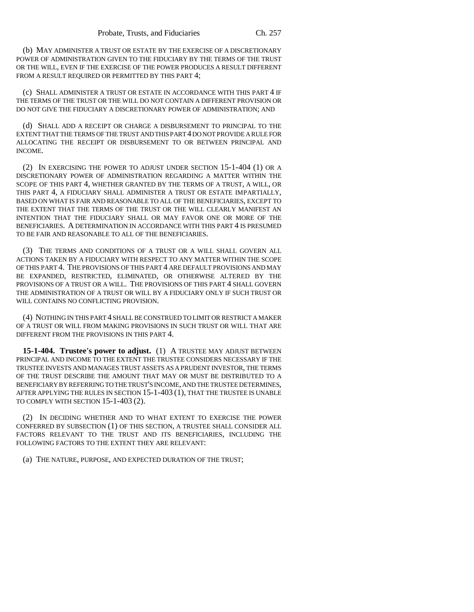(b) MAY ADMINISTER A TRUST OR ESTATE BY THE EXERCISE OF A DISCRETIONARY POWER OF ADMINISTRATION GIVEN TO THE FIDUCIARY BY THE TERMS OF THE TRUST OR THE WILL, EVEN IF THE EXERCISE OF THE POWER PRODUCES A RESULT DIFFERENT FROM A RESULT REQUIRED OR PERMITTED BY THIS PART 4;

(c) SHALL ADMINISTER A TRUST OR ESTATE IN ACCORDANCE WITH THIS PART 4 IF THE TERMS OF THE TRUST OR THE WILL DO NOT CONTAIN A DIFFERENT PROVISION OR DO NOT GIVE THE FIDUCIARY A DISCRETIONARY POWER OF ADMINISTRATION; AND

(d) SHALL ADD A RECEIPT OR CHARGE A DISBURSEMENT TO PRINCIPAL TO THE EXTENT THAT THE TERMS OF THE TRUST AND THIS PART 4 DO NOT PROVIDE A RULE FOR ALLOCATING THE RECEIPT OR DISBURSEMENT TO OR BETWEEN PRINCIPAL AND INCOME.

(2) IN EXERCISING THE POWER TO ADJUST UNDER SECTION 15-1-404 (1) OR A DISCRETIONARY POWER OF ADMINISTRATION REGARDING A MATTER WITHIN THE SCOPE OF THIS PART 4, WHETHER GRANTED BY THE TERMS OF A TRUST, A WILL, OR THIS PART 4, A FIDUCIARY SHALL ADMINISTER A TRUST OR ESTATE IMPARTIALLY, BASED ON WHAT IS FAIR AND REASONABLE TO ALL OF THE BENEFICIARIES, EXCEPT TO THE EXTENT THAT THE TERMS OF THE TRUST OR THE WILL CLEARLY MANIFEST AN INTENTION THAT THE FIDUCIARY SHALL OR MAY FAVOR ONE OR MORE OF THE BENEFICIARIES. A DETERMINATION IN ACCORDANCE WITH THIS PART 4 IS PRESUMED TO BE FAIR AND REASONABLE TO ALL OF THE BENEFICIARIES.

(3) THE TERMS AND CONDITIONS OF A TRUST OR A WILL SHALL GOVERN ALL ACTIONS TAKEN BY A FIDUCIARY WITH RESPECT TO ANY MATTER WITHIN THE SCOPE OF THIS PART 4. THE PROVISIONS OF THIS PART 4 ARE DEFAULT PROVISIONS AND MAY BE EXPANDED, RESTRICTED, ELIMINATED, OR OTHERWISE ALTERED BY THE PROVISIONS OF A TRUST OR A WILL. THE PROVISIONS OF THIS PART 4 SHALL GOVERN THE ADMINISTRATION OF A TRUST OR WILL BY A FIDUCIARY ONLY IF SUCH TRUST OR WILL CONTAINS NO CONFLICTING PROVISION.

(4) NOTHING IN THIS PART 4 SHALL BE CONSTRUED TO LIMIT OR RESTRICT A MAKER OF A TRUST OR WILL FROM MAKING PROVISIONS IN SUCH TRUST OR WILL THAT ARE DIFFERENT FROM THE PROVISIONS IN THIS PART 4.

**15-1-404. Trustee's power to adjust.** (1) A TRUSTEE MAY ADJUST BETWEEN PRINCIPAL AND INCOME TO THE EXTENT THE TRUSTEE CONSIDERS NECESSARY IF THE TRUSTEE INVESTS AND MANAGES TRUST ASSETS AS A PRUDENT INVESTOR, THE TERMS OF THE TRUST DESCRIBE THE AMOUNT THAT MAY OR MUST BE DISTRIBUTED TO A BENEFICIARY BY REFERRING TO THE TRUST'S INCOME, AND THE TRUSTEE DETERMINES, AFTER APPLYING THE RULES IN SECTION 15-1-403 (1), THAT THE TRUSTEE IS UNABLE TO COMPLY WITH SECTION 15-1-403 (2).

(2) IN DECIDING WHETHER AND TO WHAT EXTENT TO EXERCISE THE POWER CONFERRED BY SUBSECTION (1) OF THIS SECTION, A TRUSTEE SHALL CONSIDER ALL FACTORS RELEVANT TO THE TRUST AND ITS BENEFICIARIES, INCLUDING THE FOLLOWING FACTORS TO THE EXTENT THEY ARE RELEVANT:

(a) THE NATURE, PURPOSE, AND EXPECTED DURATION OF THE TRUST;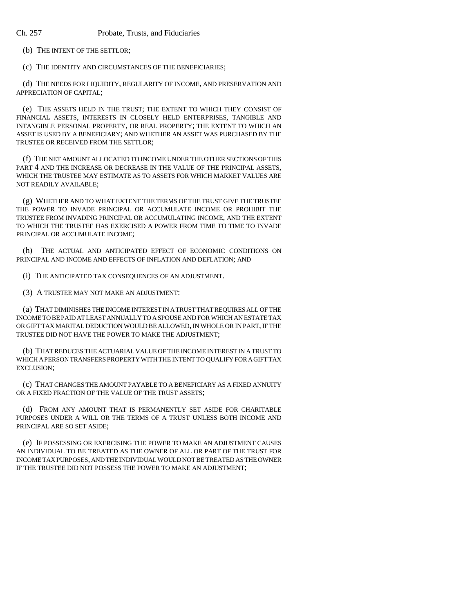(b) THE INTENT OF THE SETTLOR;

(c) THE IDENTITY AND CIRCUMSTANCES OF THE BENEFICIARIES;

(d) THE NEEDS FOR LIQUIDITY, REGULARITY OF INCOME, AND PRESERVATION AND APPRECIATION OF CAPITAL;

(e) THE ASSETS HELD IN THE TRUST; THE EXTENT TO WHICH THEY CONSIST OF FINANCIAL ASSETS, INTERESTS IN CLOSELY HELD ENTERPRISES, TANGIBLE AND INTANGIBLE PERSONAL PROPERTY, OR REAL PROPERTY; THE EXTENT TO WHICH AN ASSET IS USED BY A BENEFICIARY; AND WHETHER AN ASSET WAS PURCHASED BY THE TRUSTEE OR RECEIVED FROM THE SETTLOR;

(f) THE NET AMOUNT ALLOCATED TO INCOME UNDER THE OTHER SECTIONS OF THIS PART 4 AND THE INCREASE OR DECREASE IN THE VALUE OF THE PRINCIPAL ASSETS, WHICH THE TRUSTEE MAY ESTIMATE AS TO ASSETS FOR WHICH MARKET VALUES ARE NOT READILY AVAILABLE;

(g) WHETHER AND TO WHAT EXTENT THE TERMS OF THE TRUST GIVE THE TRUSTEE THE POWER TO INVADE PRINCIPAL OR ACCUMULATE INCOME OR PROHIBIT THE TRUSTEE FROM INVADING PRINCIPAL OR ACCUMULATING INCOME, AND THE EXTENT TO WHICH THE TRUSTEE HAS EXERCISED A POWER FROM TIME TO TIME TO INVADE PRINCIPAL OR ACCUMULATE INCOME;

(h) THE ACTUAL AND ANTICIPATED EFFECT OF ECONOMIC CONDITIONS ON PRINCIPAL AND INCOME AND EFFECTS OF INFLATION AND DEFLATION; AND

(i) THE ANTICIPATED TAX CONSEQUENCES OF AN ADJUSTMENT.

(3) A TRUSTEE MAY NOT MAKE AN ADJUSTMENT:

(a) THAT DIMINISHES THE INCOME INTEREST IN A TRUST THAT REQUIRES ALL OF THE INCOME TO BE PAID AT LEAST ANNUALLY TO A SPOUSE AND FOR WHICH AN ESTATE TAX OR GIFT TAX MARITAL DEDUCTION WOULD BE ALLOWED, IN WHOLE OR IN PART, IF THE TRUSTEE DID NOT HAVE THE POWER TO MAKE THE ADJUSTMENT;

(b) THAT REDUCES THE ACTUARIAL VALUE OF THE INCOME INTEREST IN A TRUST TO WHICH A PERSON TRANSFERS PROPERTY WITH THE INTENT TO QUALIFY FOR A GIFT TAX EXCLUSION;

(c) THAT CHANGES THE AMOUNT PAYABLE TO A BENEFICIARY AS A FIXED ANNUITY OR A FIXED FRACTION OF THE VALUE OF THE TRUST ASSETS;

(d) FROM ANY AMOUNT THAT IS PERMANENTLY SET ASIDE FOR CHARITABLE PURPOSES UNDER A WILL OR THE TERMS OF A TRUST UNLESS BOTH INCOME AND PRINCIPAL ARE SO SET ASIDE;

(e) IF POSSESSING OR EXERCISING THE POWER TO MAKE AN ADJUSTMENT CAUSES AN INDIVIDUAL TO BE TREATED AS THE OWNER OF ALL OR PART OF THE TRUST FOR INCOME TAX PURPOSES, AND THE INDIVIDUAL WOULD NOT BE TREATED AS THE OWNER IF THE TRUSTEE DID NOT POSSESS THE POWER TO MAKE AN ADJUSTMENT;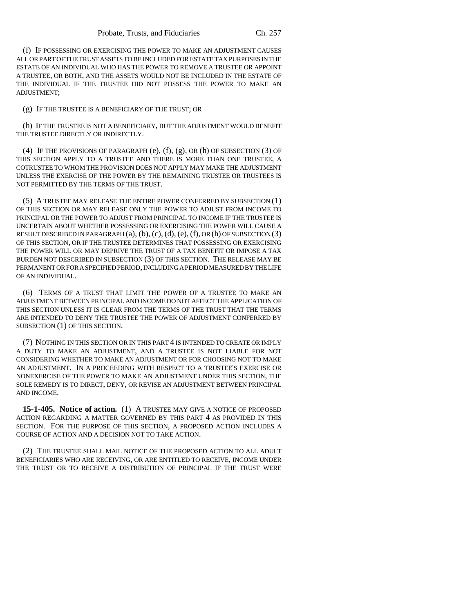(f) IF POSSESSING OR EXERCISING THE POWER TO MAKE AN ADJUSTMENT CAUSES ALL OR PART OF THE TRUST ASSETS TO BE INCLUDED FOR ESTATE TAX PURPOSES IN THE ESTATE OF AN INDIVIDUAL WHO HAS THE POWER TO REMOVE A TRUSTEE OR APPOINT A TRUSTEE, OR BOTH, AND THE ASSETS WOULD NOT BE INCLUDED IN THE ESTATE OF THE INDIVIDUAL IF THE TRUSTEE DID NOT POSSESS THE POWER TO MAKE AN ADJUSTMENT;

(g) IF THE TRUSTEE IS A BENEFICIARY OF THE TRUST; OR

(h) IF THE TRUSTEE IS NOT A BENEFICIARY, BUT THE ADJUSTMENT WOULD BENEFIT THE TRUSTEE DIRECTLY OR INDIRECTLY.

(4) IF THE PROVISIONS OF PARAGRAPH (e), (f), (g), OR (h) OF SUBSECTION (3) OF THIS SECTION APPLY TO A TRUSTEE AND THERE IS MORE THAN ONE TRUSTEE, A COTRUSTEE TO WHOM THE PROVISION DOES NOT APPLY MAY MAKE THE ADJUSTMENT UNLESS THE EXERCISE OF THE POWER BY THE REMAINING TRUSTEE OR TRUSTEES IS NOT PERMITTED BY THE TERMS OF THE TRUST.

(5) A TRUSTEE MAY RELEASE THE ENTIRE POWER CONFERRED BY SUBSECTION (1) OF THIS SECTION OR MAY RELEASE ONLY THE POWER TO ADJUST FROM INCOME TO PRINCIPAL OR THE POWER TO ADJUST FROM PRINCIPAL TO INCOME IF THE TRUSTEE IS UNCERTAIN ABOUT WHETHER POSSESSING OR EXERCISING THE POWER WILL CAUSE A RESULT DESCRIBED IN PARAGRAPH (a), (b), (c), (d), (e), (f), OR (h) OF SUBSECTION (3) OF THIS SECTION, OR IF THE TRUSTEE DETERMINES THAT POSSESSING OR EXERCISING THE POWER WILL OR MAY DEPRIVE THE TRUST OF A TAX BENEFIT OR IMPOSE A TAX BURDEN NOT DESCRIBED IN SUBSECTION (3) OF THIS SECTION. THE RELEASE MAY BE PERMANENT OR FOR A SPECIFIED PERIOD, INCLUDING A PERIOD MEASURED BY THE LIFE OF AN INDIVIDUAL.

(6) TERMS OF A TRUST THAT LIMIT THE POWER OF A TRUSTEE TO MAKE AN ADJUSTMENT BETWEEN PRINCIPAL AND INCOME DO NOT AFFECT THE APPLICATION OF THIS SECTION UNLESS IT IS CLEAR FROM THE TERMS OF THE TRUST THAT THE TERMS ARE INTENDED TO DENY THE TRUSTEE THE POWER OF ADJUSTMENT CONFERRED BY SUBSECTION (1) OF THIS SECTION.

(7) NOTHING IN THIS SECTION OR IN THIS PART 4 IS INTENDED TO CREATE OR IMPLY A DUTY TO MAKE AN ADJUSTMENT, AND A TRUSTEE IS NOT LIABLE FOR NOT CONSIDERING WHETHER TO MAKE AN ADJUSTMENT OR FOR CHOOSING NOT TO MAKE AN ADJUSTMENT. IN A PROCEEDING WITH RESPECT TO A TRUSTEE'S EXERCISE OR NONEXERCISE OF THE POWER TO MAKE AN ADJUSTMENT UNDER THIS SECTION, THE SOLE REMEDY IS TO DIRECT, DENY, OR REVISE AN ADJUSTMENT BETWEEN PRINCIPAL AND INCOME.

**15-1-405. Notice of action.** (1) A TRUSTEE MAY GIVE A NOTICE OF PROPOSED ACTION REGARDING A MATTER GOVERNED BY THIS PART 4 AS PROVIDED IN THIS SECTION. FOR THE PURPOSE OF THIS SECTION, A PROPOSED ACTION INCLUDES A COURSE OF ACTION AND A DECISION NOT TO TAKE ACTION.

(2) THE TRUSTEE SHALL MAIL NOTICE OF THE PROPOSED ACTION TO ALL ADULT BENEFICIARIES WHO ARE RECEIVING, OR ARE ENTITLED TO RECEIVE, INCOME UNDER THE TRUST OR TO RECEIVE A DISTRIBUTION OF PRINCIPAL IF THE TRUST WERE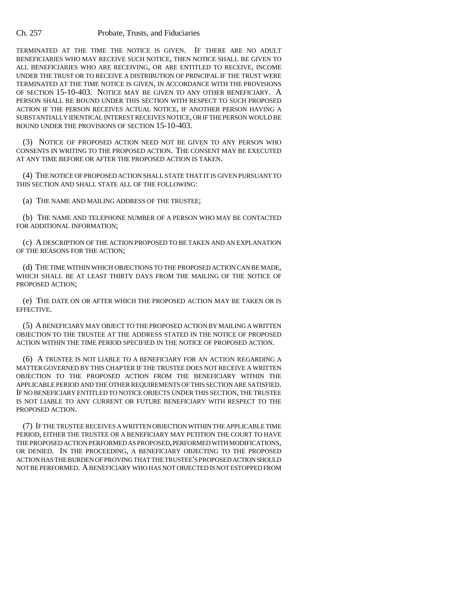TERMINATED AT THE TIME THE NOTICE IS GIVEN. IF THERE ARE NO ADULT BENEFICIARIES WHO MAY RECEIVE SUCH NOTICE, THEN NOTICE SHALL BE GIVEN TO ALL BENEFICIARIES WHO ARE RECEIVING, OR ARE ENTITLED TO RECEIVE, INCOME UNDER THE TRUST OR TO RECEIVE A DISTRIBUTION OF PRINCIPAL IF THE TRUST WERE TERMINATED AT THE TIME NOTICE IS GIVEN, IN ACCORDANCE WITH THE PROVISIONS OF SECTION 15-10-403. NOTICE MAY BE GIVEN TO ANY OTHER BENEFICIARY. A PERSON SHALL BE BOUND UNDER THIS SECTION WITH RESPECT TO SUCH PROPOSED ACTION IF THE PERSON RECEIVES ACTUAL NOTICE, IF ANOTHER PERSON HAVING A SUBSTANTIALLY IDENTICAL INTEREST RECEIVES NOTICE, OR IF THE PERSON WOULD BE BOUND UNDER THE PROVISIONS OF SECTION 15-10-403.

(3) NOTICE OF PROPOSED ACTION NEED NOT BE GIVEN TO ANY PERSON WHO CONSENTS IN WRITING TO THE PROPOSED ACTION. THE CONSENT MAY BE EXECUTED AT ANY TIME BEFORE OR AFTER THE PROPOSED ACTION IS TAKEN.

(4) THE NOTICE OF PROPOSED ACTION SHALL STATE THAT IT IS GIVEN PURSUANT TO THIS SECTION AND SHALL STATE ALL OF THE FOLLOWING:

(a) THE NAME AND MAILING ADDRESS OF THE TRUSTEE;

(b) THE NAME AND TELEPHONE NUMBER OF A PERSON WHO MAY BE CONTACTED FOR ADDITIONAL INFORMATION;

(c) A DESCRIPTION OF THE ACTION PROPOSED TO BE TAKEN AND AN EXPLANATION OF THE REASONS FOR THE ACTION;

(d) THE TIME WITHIN WHICH OBJECTIONS TO THE PROPOSED ACTION CAN BE MADE, WHICH SHALL BE AT LEAST THIRTY DAYS FROM THE MAILING OF THE NOTICE OF PROPOSED ACTION;

(e) THE DATE ON OR AFTER WHICH THE PROPOSED ACTION MAY BE TAKEN OR IS EFFECTIVE.

(5) A BENEFICIARY MAY OBJECT TO THE PROPOSED ACTION BY MAILING A WRITTEN OBJECTION TO THE TRUSTEE AT THE ADDRESS STATED IN THE NOTICE OF PROPOSED ACTION WITHIN THE TIME PERIOD SPECIFIED IN THE NOTICE OF PROPOSED ACTION.

(6) A TRUSTEE IS NOT LIABLE TO A BENEFICIARY FOR AN ACTION REGARDING A MATTER GOVERNED BY THIS CHAPTER IF THE TRUSTEE DOES NOT RECEIVE A WRITTEN OBJECTION TO THE PROPOSED ACTION FROM THE BENEFICIARY WITHIN THE APPLICABLE PERIOD AND THE OTHER REQUIREMENTS OF THIS SECTION ARE SATISFIED. IF NO BENEFICIARY ENTITLED TO NOTICE OBJECTS UNDER THIS SECTION, THE TRUSTEE IS NOT LIABLE TO ANY CURRENT OR FUTURE BENEFICIARY WITH RESPECT TO THE PROPOSED ACTION.

(7) IF THE TRUSTEE RECEIVES A WRITTEN OBJECTION WITHIN THE APPLICABLE TIME PERIOD, EITHER THE TRUSTEE OR A BENEFICIARY MAY PETITION THE COURT TO HAVE THE PROPOSED ACTION PERFORMED AS PROPOSED, PERFORMED WITH MODIFICATIONS, OR DENIED. IN THE PROCEEDING, A BENEFICIARY OBJECTING TO THE PROPOSED ACTION HAS THE BURDEN OF PROVING THAT THE TRUSTEE'S PROPOSED ACTION SHOULD NOT BE PERFORMED. A BENEFICIARY WHO HAS NOT OBJECTED IS NOT ESTOPPED FROM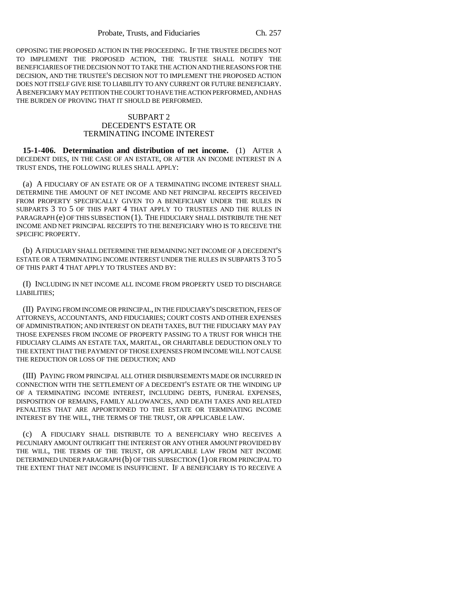Probate, Trusts, and Fiduciaries Ch. 257

OPPOSING THE PROPOSED ACTION IN THE PROCEEDING. IF THE TRUSTEE DECIDES NOT TO IMPLEMENT THE PROPOSED ACTION, THE TRUSTEE SHALL NOTIFY THE BENEFICIARIES OF THE DECISION NOT TO TAKE THE ACTION AND THE REASONS FOR THE DECISION, AND THE TRUSTEE'S DECISION NOT TO IMPLEMENT THE PROPOSED ACTION DOES NOT ITSELF GIVE RISE TO LIABILITY TO ANY CURRENT OR FUTURE BENEFICIARY. A BENEFICIARY MAY PETITION THE COURT TO HAVE THE ACTION PERFORMED, AND HAS THE BURDEN OF PROVING THAT IT SHOULD BE PERFORMED.

## SUBPART 2 DECEDENT'S ESTATE OR TERMINATING INCOME INTEREST

**15-1-406. Determination and distribution of net income.** (1) AFTER A DECEDENT DIES, IN THE CASE OF AN ESTATE, OR AFTER AN INCOME INTEREST IN A TRUST ENDS, THE FOLLOWING RULES SHALL APPLY:

(a) A FIDUCIARY OF AN ESTATE OR OF A TERMINATING INCOME INTEREST SHALL DETERMINE THE AMOUNT OF NET INCOME AND NET PRINCIPAL RECEIPTS RECEIVED FROM PROPERTY SPECIFICALLY GIVEN TO A BENEFICIARY UNDER THE RULES IN SUBPARTS 3 TO 5 OF THIS PART 4 THAT APPLY TO TRUSTEES AND THE RULES IN PARAGRAPH (e) OF THIS SUBSECTION (1). THE FIDUCIARY SHALL DISTRIBUTE THE NET INCOME AND NET PRINCIPAL RECEIPTS TO THE BENEFICIARY WHO IS TO RECEIVE THE SPECIFIC PROPERTY.

(b) A FIDUCIARY SHALL DETERMINE THE REMAINING NET INCOME OF A DECEDENT'S ESTATE OR A TERMINATING INCOME INTEREST UNDER THE RULES IN SUBPARTS 3 TO 5 OF THIS PART 4 THAT APPLY TO TRUSTEES AND BY:

(I) INCLUDING IN NET INCOME ALL INCOME FROM PROPERTY USED TO DISCHARGE LIABILITIES;

(II) PAYING FROM INCOME OR PRINCIPAL, IN THE FIDUCIARY'S DISCRETION, FEES OF ATTORNEYS, ACCOUNTANTS, AND FIDUCIARIES; COURT COSTS AND OTHER EXPENSES OF ADMINISTRATION; AND INTEREST ON DEATH TAXES, BUT THE FIDUCIARY MAY PAY THOSE EXPENSES FROM INCOME OF PROPERTY PASSING TO A TRUST FOR WHICH THE FIDUCIARY CLAIMS AN ESTATE TAX, MARITAL, OR CHARITABLE DEDUCTION ONLY TO THE EXTENT THAT THE PAYMENT OF THOSE EXPENSES FROM INCOME WILL NOT CAUSE THE REDUCTION OR LOSS OF THE DEDUCTION; AND

(III) PAYING FROM PRINCIPAL ALL OTHER DISBURSEMENTS MADE OR INCURRED IN CONNECTION WITH THE SETTLEMENT OF A DECEDENT'S ESTATE OR THE WINDING UP OF A TERMINATING INCOME INTEREST, INCLUDING DEBTS, FUNERAL EXPENSES, DISPOSITION OF REMAINS, FAMILY ALLOWANCES, AND DEATH TAXES AND RELATED PENALTIES THAT ARE APPORTIONED TO THE ESTATE OR TERMINATING INCOME INTEREST BY THE WILL, THE TERMS OF THE TRUST, OR APPLICABLE LAW.

(c) A FIDUCIARY SHALL DISTRIBUTE TO A BENEFICIARY WHO RECEIVES A PECUNIARY AMOUNT OUTRIGHT THE INTEREST OR ANY OTHER AMOUNT PROVIDED BY THE WILL, THE TERMS OF THE TRUST, OR APPLICABLE LAW FROM NET INCOME DETERMINED UNDER PARAGRAPH (b) OF THIS SUBSECTION (1) OR FROM PRINCIPAL TO THE EXTENT THAT NET INCOME IS INSUFFICIENT. IF A BENEFICIARY IS TO RECEIVE A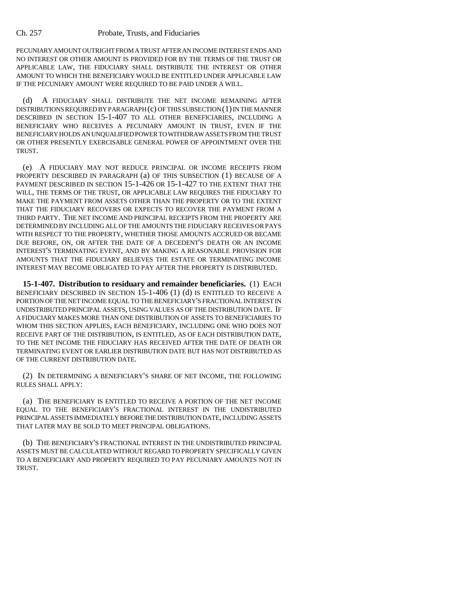PECUNIARY AMOUNT OUTRIGHT FROM A TRUST AFTER AN INCOME INTEREST ENDS AND NO INTEREST OR OTHER AMOUNT IS PROVIDED FOR BY THE TERMS OF THE TRUST OR APPLICABLE LAW, THE FIDUCIARY SHALL DISTRIBUTE THE INTEREST OR OTHER AMOUNT TO WHICH THE BENEFICIARY WOULD BE ENTITLED UNDER APPLICABLE LAW IF THE PECUNIARY AMOUNT WERE REQUIRED TO BE PAID UNDER A WILL.

(d) A FIDUCIARY SHALL DISTRIBUTE THE NET INCOME REMAINING AFTER DISTRIBUTIONS REQUIRED BY PARAGRAPH (c) OF THIS SUBSECTION (1) IN THE MANNER DESCRIBED IN SECTION 15-1-407 TO ALL OTHER BENEFICIARIES, INCLUDING A BENEFICIARY WHO RECEIVES A PECUNIARY AMOUNT IN TRUST, EVEN IF THE BENEFICIARY HOLDS AN UNQUALIFIED POWER TO WITHDRAW ASSETS FROM THE TRUST OR OTHER PRESENTLY EXERCISABLE GENERAL POWER OF APPOINTMENT OVER THE TRUST.

(e) A FIDUCIARY MAY NOT REDUCE PRINCIPAL OR INCOME RECEIPTS FROM PROPERTY DESCRIBED IN PARAGRAPH (a) OF THIS SUBSECTION (1) BECAUSE OF A PAYMENT DESCRIBED IN SECTION 15-1-426 OR 15-1-427 TO THE EXTENT THAT THE WILL, THE TERMS OF THE TRUST, OR APPLICABLE LAW REQUIRES THE FIDUCIARY TO MAKE THE PAYMENT FROM ASSETS OTHER THAN THE PROPERTY OR TO THE EXTENT THAT THE FIDUCIARY RECOVERS OR EXPECTS TO RECOVER THE PAYMENT FROM A THIRD PARTY. THE NET INCOME AND PRINCIPAL RECEIPTS FROM THE PROPERTY ARE DETERMINED BY INCLUDING ALL OF THE AMOUNTS THE FIDUCIARY RECEIVES OR PAYS WITH RESPECT TO THE PROPERTY, WHETHER THOSE AMOUNTS ACCRUED OR BECAME DUE BEFORE, ON, OR AFTER THE DATE OF A DECEDENT'S DEATH OR AN INCOME INTEREST'S TERMINATING EVENT, AND BY MAKING A REASONABLE PROVISION FOR AMOUNTS THAT THE FIDUCIARY BELIEVES THE ESTATE OR TERMINATING INCOME INTEREST MAY BECOME OBLIGATED TO PAY AFTER THE PROPERTY IS DISTRIBUTED.

**15-1-407. Distribution to residuary and remainder beneficiaries.** (1) EACH BENEFICIARY DESCRIBED IN SECTION 15-1-406 (1) (d) IS ENTITLED TO RECEIVE A PORTION OF THE NET INCOME EQUAL TO THE BENEFICIARY'S FRACTIONAL INTEREST IN UNDISTRIBUTED PRINCIPAL ASSETS, USING VALUES AS OF THE DISTRIBUTION DATE. IF A FIDUCIARY MAKES MORE THAN ONE DISTRIBUTION OF ASSETS TO BENEFICIARIES TO WHOM THIS SECTION APPLIES, EACH BENEFICIARY, INCLUDING ONE WHO DOES NOT RECEIVE PART OF THE DISTRIBUTION, IS ENTITLED, AS OF EACH DISTRIBUTION DATE, TO THE NET INCOME THE FIDUCIARY HAS RECEIVED AFTER THE DATE OF DEATH OR TERMINATING EVENT OR EARLIER DISTRIBUTION DATE BUT HAS NOT DISTRIBUTED AS OF THE CURRENT DISTRIBUTION DATE.

(2) IN DETERMINING A BENEFICIARY'S SHARE OF NET INCOME, THE FOLLOWING RULES SHALL APPLY:

(a) THE BENEFICIARY IS ENTITLED TO RECEIVE A PORTION OF THE NET INCOME EQUAL TO THE BENEFICIARY'S FRACTIONAL INTEREST IN THE UNDISTRIBUTED PRINCIPAL ASSETS IMMEDIATELY BEFORE THE DISTRIBUTION DATE, INCLUDING ASSETS THAT LATER MAY BE SOLD TO MEET PRINCIPAL OBLIGATIONS.

(b) THE BENEFICIARY'S FRACTIONAL INTEREST IN THE UNDISTRIBUTED PRINCIPAL ASSETS MUST BE CALCULATED WITHOUT REGARD TO PROPERTY SPECIFICALLY GIVEN TO A BENEFICIARY AND PROPERTY REQUIRED TO PAY PECUNIARY AMOUNTS NOT IN TRUST.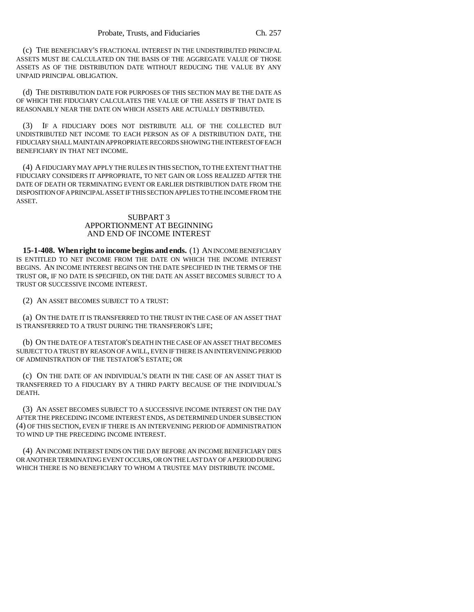(c) THE BENEFICIARY'S FRACTIONAL INTEREST IN THE UNDISTRIBUTED PRINCIPAL ASSETS MUST BE CALCULATED ON THE BASIS OF THE AGGREGATE VALUE OF THOSE ASSETS AS OF THE DISTRIBUTION DATE WITHOUT REDUCING THE VALUE BY ANY UNPAID PRINCIPAL OBLIGATION.

(d) THE DISTRIBUTION DATE FOR PURPOSES OF THIS SECTION MAY BE THE DATE AS OF WHICH THE FIDUCIARY CALCULATES THE VALUE OF THE ASSETS IF THAT DATE IS REASONABLY NEAR THE DATE ON WHICH ASSETS ARE ACTUALLY DISTRIBUTED.

(3) IF A FIDUCIARY DOES NOT DISTRIBUTE ALL OF THE COLLECTED BUT UNDISTRIBUTED NET INCOME TO EACH PERSON AS OF A DISTRIBUTION DATE, THE FIDUCIARY SHALL MAINTAIN APPROPRIATE RECORDS SHOWING THE INTEREST OF EACH BENEFICIARY IN THAT NET INCOME.

(4) A FIDUCIARY MAY APPLY THE RULES IN THIS SECTION, TO THE EXTENT THAT THE FIDUCIARY CONSIDERS IT APPROPRIATE, TO NET GAIN OR LOSS REALIZED AFTER THE DATE OF DEATH OR TERMINATING EVENT OR EARLIER DISTRIBUTION DATE FROM THE DISPOSITION OF A PRINCIPAL ASSET IF THIS SECTION APPLIES TO THE INCOME FROM THE ASSET.

## SUBPART 3 APPORTIONMENT AT BEGINNING AND END OF INCOME INTEREST

**15-1-408. When right to income begins and ends.** (1) AN INCOME BENEFICIARY IS ENTITLED TO NET INCOME FROM THE DATE ON WHICH THE INCOME INTEREST BEGINS. AN INCOME INTEREST BEGINS ON THE DATE SPECIFIED IN THE TERMS OF THE TRUST OR, IF NO DATE IS SPECIFIED, ON THE DATE AN ASSET BECOMES SUBJECT TO A TRUST OR SUCCESSIVE INCOME INTEREST.

(2) AN ASSET BECOMES SUBJECT TO A TRUST:

(a) ON THE DATE IT IS TRANSFERRED TO THE TRUST IN THE CASE OF AN ASSET THAT IS TRANSFERRED TO A TRUST DURING THE TRANSFEROR'S LIFE;

(b) ON THE DATE OF A TESTATOR'S DEATH IN THE CASE OF AN ASSET THAT BECOMES SUBJECT TO A TRUST BY REASON OF A WILL, EVEN IF THERE IS AN INTERVENING PERIOD OF ADMINISTRATION OF THE TESTATOR'S ESTATE; OR

(c) ON THE DATE OF AN INDIVIDUAL'S DEATH IN THE CASE OF AN ASSET THAT IS TRANSFERRED TO A FIDUCIARY BY A THIRD PARTY BECAUSE OF THE INDIVIDUAL'S DEATH.

(3) AN ASSET BECOMES SUBJECT TO A SUCCESSIVE INCOME INTEREST ON THE DAY AFTER THE PRECEDING INCOME INTEREST ENDS, AS DETERMINED UNDER SUBSECTION (4) OF THIS SECTION, EVEN IF THERE IS AN INTERVENING PERIOD OF ADMINISTRATION TO WIND UP THE PRECEDING INCOME INTEREST.

(4) AN INCOME INTEREST ENDS ON THE DAY BEFORE AN INCOME BENEFICIARY DIES OR ANOTHER TERMINATING EVENT OCCURS, OR ON THE LAST DAY OF A PERIOD DURING WHICH THERE IS NO BENEFICIARY TO WHOM A TRUSTEE MAY DISTRIBUTE INCOME.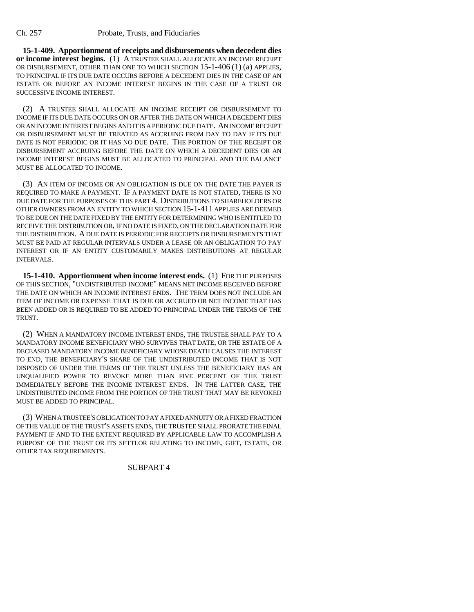**15-1-409. Apportionment of receipts and disbursements when decedent dies or income interest begins.** (1) A TRUSTEE SHALL ALLOCATE AN INCOME RECEIPT OR DISBURSEMENT, OTHER THAN ONE TO WHICH SECTION 15-1-406 (1) (a) APPLIES, TO PRINCIPAL IF ITS DUE DATE OCCURS BEFORE A DECEDENT DIES IN THE CASE OF AN ESTATE OR BEFORE AN INCOME INTEREST BEGINS IN THE CASE OF A TRUST OR SUCCESSIVE INCOME INTEREST.

(2) A TRUSTEE SHALL ALLOCATE AN INCOME RECEIPT OR DISBURSEMENT TO INCOME IF ITS DUE DATE OCCURS ON OR AFTER THE DATE ON WHICH A DECEDENT DIES OR AN INCOME INTEREST BEGINS AND IT IS A PERIODIC DUE DATE. AN INCOME RECEIPT OR DISBURSEMENT MUST BE TREATED AS ACCRUING FROM DAY TO DAY IF ITS DUE DATE IS NOT PERIODIC OR IT HAS NO DUE DATE. THE PORTION OF THE RECEIPT OR DISBURSEMENT ACCRUING BEFORE THE DATE ON WHICH A DECEDENT DIES OR AN INCOME INTEREST BEGINS MUST BE ALLOCATED TO PRINCIPAL AND THE BALANCE MUST BE ALLOCATED TO INCOME.

(3) AN ITEM OF INCOME OR AN OBLIGATION IS DUE ON THE DATE THE PAYER IS REQUIRED TO MAKE A PAYMENT. IF A PAYMENT DATE IS NOT STATED, THERE IS NO DUE DATE FOR THE PURPOSES OF THIS PART 4. DISTRIBUTIONS TO SHAREHOLDERS OR OTHER OWNERS FROM AN ENTITY TO WHICH SECTION 15-1-411 APPLIES ARE DEEMED TO BE DUE ON THE DATE FIXED BY THE ENTITY FOR DETERMINING WHO IS ENTITLED TO RECEIVE THE DISTRIBUTION OR, IF NO DATE IS FIXED, ON THE DECLARATION DATE FOR THE DISTRIBUTION. A DUE DATE IS PERIODIC FOR RECEIPTS OR DISBURSEMENTS THAT MUST BE PAID AT REGULAR INTERVALS UNDER A LEASE OR AN OBLIGATION TO PAY INTEREST OR IF AN ENTITY CUSTOMARILY MAKES DISTRIBUTIONS AT REGULAR INTERVALS.

**15-1-410. Apportionment when income interest ends.** (1) FOR THE PURPOSES OF THIS SECTION, "UNDISTRIBUTED INCOME" MEANS NET INCOME RECEIVED BEFORE THE DATE ON WHICH AN INCOME INTEREST ENDS. THE TERM DOES NOT INCLUDE AN ITEM OF INCOME OR EXPENSE THAT IS DUE OR ACCRUED OR NET INCOME THAT HAS BEEN ADDED OR IS REQUIRED TO BE ADDED TO PRINCIPAL UNDER THE TERMS OF THE TRUST.

(2) WHEN A MANDATORY INCOME INTEREST ENDS, THE TRUSTEE SHALL PAY TO A MANDATORY INCOME BENEFICIARY WHO SURVIVES THAT DATE, OR THE ESTATE OF A DECEASED MANDATORY INCOME BENEFICIARY WHOSE DEATH CAUSES THE INTEREST TO END, THE BENEFICIARY'S SHARE OF THE UNDISTRIBUTED INCOME THAT IS NOT DISPOSED OF UNDER THE TERMS OF THE TRUST UNLESS THE BENEFICIARY HAS AN UNQUALIFIED POWER TO REVOKE MORE THAN FIVE PERCENT OF THE TRUST IMMEDIATELY BEFORE THE INCOME INTEREST ENDS. IN THE LATTER CASE, THE UNDISTRIBUTED INCOME FROM THE PORTION OF THE TRUST THAT MAY BE REVOKED MUST BE ADDED TO PRINCIPAL.

(3) WHEN A TRUSTEE'S OBLIGATION TO PAY A FIXED ANNUITY OR A FIXED FRACTION OF THE VALUE OF THE TRUST'S ASSETS ENDS, THE TRUSTEE SHALL PRORATE THE FINAL PAYMENT IF AND TO THE EXTENT REQUIRED BY APPLICABLE LAW TO ACCOMPLISH A PURPOSE OF THE TRUST OR ITS SETTLOR RELATING TO INCOME, GIFT, ESTATE, OR OTHER TAX REQUIREMENTS.

SUBPART 4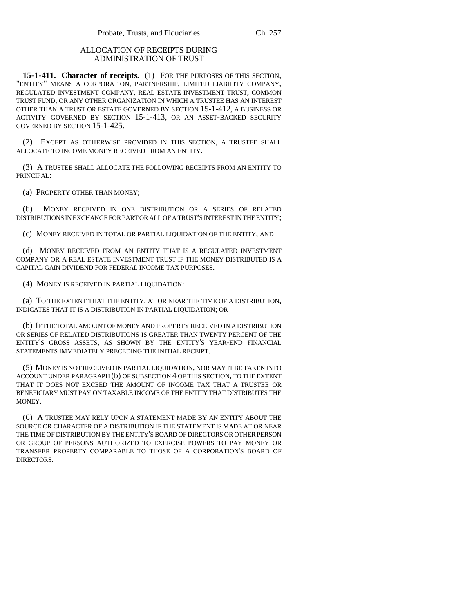## ALLOCATION OF RECEIPTS DURING ADMINISTRATION OF TRUST

**15-1-411. Character of receipts.** (1) FOR THE PURPOSES OF THIS SECTION, "ENTITY" MEANS A CORPORATION, PARTNERSHIP, LIMITED LIABILITY COMPANY, REGULATED INVESTMENT COMPANY, REAL ESTATE INVESTMENT TRUST, COMMON TRUST FUND, OR ANY OTHER ORGANIZATION IN WHICH A TRUSTEE HAS AN INTEREST OTHER THAN A TRUST OR ESTATE GOVERNED BY SECTION 15-1-412, A BUSINESS OR ACTIVITY GOVERNED BY SECTION 15-1-413, OR AN ASSET-BACKED SECURITY GOVERNED BY SECTION 15-1-425.

(2) EXCEPT AS OTHERWISE PROVIDED IN THIS SECTION, A TRUSTEE SHALL ALLOCATE TO INCOME MONEY RECEIVED FROM AN ENTITY.

(3) A TRUSTEE SHALL ALLOCATE THE FOLLOWING RECEIPTS FROM AN ENTITY TO PRINCIPAL:

(a) PROPERTY OTHER THAN MONEY;

(b) MONEY RECEIVED IN ONE DISTRIBUTION OR A SERIES OF RELATED DISTRIBUTIONS IN EXCHANGE FOR PART OR ALL OF A TRUST'S INTEREST IN THE ENTITY;

(c) MONEY RECEIVED IN TOTAL OR PARTIAL LIQUIDATION OF THE ENTITY; AND

(d) MONEY RECEIVED FROM AN ENTITY THAT IS A REGULATED INVESTMENT COMPANY OR A REAL ESTATE INVESTMENT TRUST IF THE MONEY DISTRIBUTED IS A CAPITAL GAIN DIVIDEND FOR FEDERAL INCOME TAX PURPOSES.

(4) MONEY IS RECEIVED IN PARTIAL LIQUIDATION:

(a) TO THE EXTENT THAT THE ENTITY, AT OR NEAR THE TIME OF A DISTRIBUTION, INDICATES THAT IT IS A DISTRIBUTION IN PARTIAL LIQUIDATION; OR

(b) IF THE TOTAL AMOUNT OF MONEY AND PROPERTY RECEIVED IN A DISTRIBUTION OR SERIES OF RELATED DISTRIBUTIONS IS GREATER THAN TWENTY PERCENT OF THE ENTITY'S GROSS ASSETS, AS SHOWN BY THE ENTITY'S YEAR-END FINANCIAL STATEMENTS IMMEDIATELY PRECEDING THE INITIAL RECEIPT.

(5) MONEY IS NOT RECEIVED IN PARTIAL LIQUIDATION, NOR MAY IT BE TAKEN INTO ACCOUNT UNDER PARAGRAPH (b) OF SUBSECTION 4 OF THIS SECTION, TO THE EXTENT THAT IT DOES NOT EXCEED THE AMOUNT OF INCOME TAX THAT A TRUSTEE OR BENEFICIARY MUST PAY ON TAXABLE INCOME OF THE ENTITY THAT DISTRIBUTES THE MONEY.

(6) A TRUSTEE MAY RELY UPON A STATEMENT MADE BY AN ENTITY ABOUT THE SOURCE OR CHARACTER OF A DISTRIBUTION IF THE STATEMENT IS MADE AT OR NEAR THE TIME OF DISTRIBUTION BY THE ENTITY'S BOARD OF DIRECTORS OR OTHER PERSON OR GROUP OF PERSONS AUTHORIZED TO EXERCISE POWERS TO PAY MONEY OR TRANSFER PROPERTY COMPARABLE TO THOSE OF A CORPORATION'S BOARD OF DIRECTORS.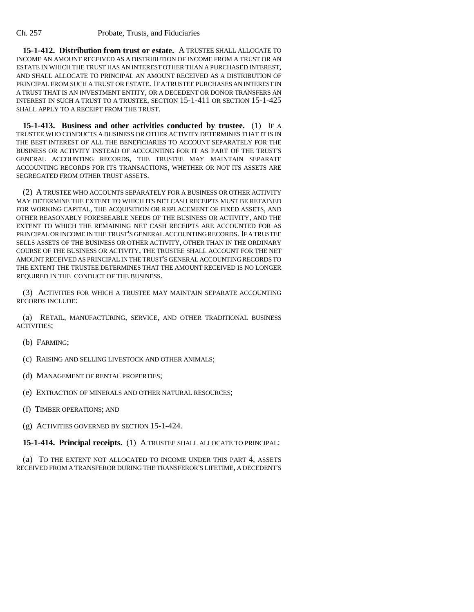**15-1-412. Distribution from trust or estate.** A TRUSTEE SHALL ALLOCATE TO INCOME AN AMOUNT RECEIVED AS A DISTRIBUTION OF INCOME FROM A TRUST OR AN ESTATE IN WHICH THE TRUST HAS AN INTEREST OTHER THAN A PURCHASED INTEREST, AND SHALL ALLOCATE TO PRINCIPAL AN AMOUNT RECEIVED AS A DISTRIBUTION OF PRINCIPAL FROM SUCH A TRUST OR ESTATE. IF A TRUSTEE PURCHASES AN INTEREST IN A TRUST THAT IS AN INVESTMENT ENTITY, OR A DECEDENT OR DONOR TRANSFERS AN INTEREST IN SUCH A TRUST TO A TRUSTEE, SECTION 15-1-411 OR SECTION 15-1-425 SHALL APPLY TO A RECEIPT FROM THE TRUST.

**15-1-413. Business and other activities conducted by trustee.** (1) IF A TRUSTEE WHO CONDUCTS A BUSINESS OR OTHER ACTIVITY DETERMINES THAT IT IS IN THE BEST INTEREST OF ALL THE BENEFICIARIES TO ACCOUNT SEPARATELY FOR THE BUSINESS OR ACTIVITY INSTEAD OF ACCOUNTING FOR IT AS PART OF THE TRUST'S GENERAL ACCOUNTING RECORDS, THE TRUSTEE MAY MAINTAIN SEPARATE ACCOUNTING RECORDS FOR ITS TRANSACTIONS, WHETHER OR NOT ITS ASSETS ARE SEGREGATED FROM OTHER TRUST ASSETS.

(2) A TRUSTEE WHO ACCOUNTS SEPARATELY FOR A BUSINESS OR OTHER ACTIVITY MAY DETERMINE THE EXTENT TO WHICH ITS NET CASH RECEIPTS MUST BE RETAINED FOR WORKING CAPITAL, THE ACQUISITION OR REPLACEMENT OF FIXED ASSETS, AND OTHER REASONABLY FORESEEABLE NEEDS OF THE BUSINESS OR ACTIVITY, AND THE EXTENT TO WHICH THE REMAINING NET CASH RECEIPTS ARE ACCOUNTED FOR AS PRINCIPAL OR INCOME IN THE TRUST'S GENERAL ACCOUNTING RECORDS. IF A TRUSTEE SELLS ASSETS OF THE BUSINESS OR OTHER ACTIVITY, OTHER THAN IN THE ORDINARY COURSE OF THE BUSINESS OR ACTIVITY, THE TRUSTEE SHALL ACCOUNT FOR THE NET AMOUNT RECEIVED AS PRINCIPAL IN THE TRUST'S GENERAL ACCOUNTING RECORDS TO THE EXTENT THE TRUSTEE DETERMINES THAT THE AMOUNT RECEIVED IS NO LONGER REQUIRED IN THE CONDUCT OF THE BUSINESS.

(3) ACTIVITIES FOR WHICH A TRUSTEE MAY MAINTAIN SEPARATE ACCOUNTING RECORDS INCLUDE:

(a) RETAIL, MANUFACTURING, SERVICE, AND OTHER TRADITIONAL BUSINESS ACTIVITIES;

(b) FARMING;

(c) RAISING AND SELLING LIVESTOCK AND OTHER ANIMALS;

(d) MANAGEMENT OF RENTAL PROPERTIES;

(e) EXTRACTION OF MINERALS AND OTHER NATURAL RESOURCES;

(f) TIMBER OPERATIONS; AND

(g) ACTIVITIES GOVERNED BY SECTION 15-1-424.

**15-1-414. Principal receipts.** (1) A TRUSTEE SHALL ALLOCATE TO PRINCIPAL:

(a) TO THE EXTENT NOT ALLOCATED TO INCOME UNDER THIS PART 4, ASSETS RECEIVED FROM A TRANSFEROR DURING THE TRANSFEROR'S LIFETIME, A DECEDENT'S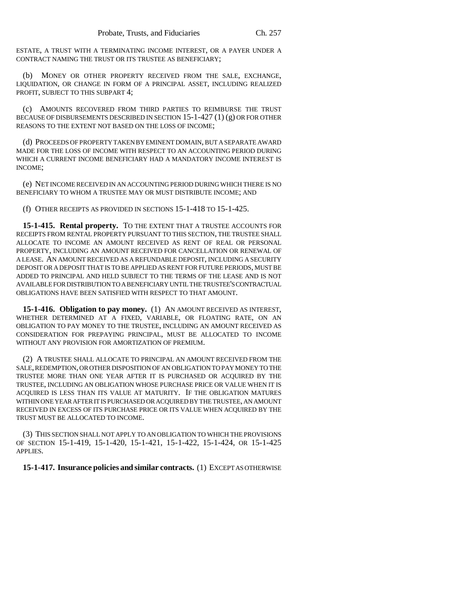ESTATE, A TRUST WITH A TERMINATING INCOME INTEREST, OR A PAYER UNDER A CONTRACT NAMING THE TRUST OR ITS TRUSTEE AS BENEFICIARY;

(b) MONEY OR OTHER PROPERTY RECEIVED FROM THE SALE, EXCHANGE, LIQUIDATION, OR CHANGE IN FORM OF A PRINCIPAL ASSET, INCLUDING REALIZED PROFIT, SUBJECT TO THIS SUBPART 4;

(c) AMOUNTS RECOVERED FROM THIRD PARTIES TO REIMBURSE THE TRUST BECAUSE OF DISBURSEMENTS DESCRIBED IN SECTION 15-1-427 (1) (g) OR FOR OTHER REASONS TO THE EXTENT NOT BASED ON THE LOSS OF INCOME;

(d) PROCEEDS OF PROPERTY TAKEN BY EMINENT DOMAIN, BUT A SEPARATE AWARD MADE FOR THE LOSS OF INCOME WITH RESPECT TO AN ACCOUNTING PERIOD DURING WHICH A CURRENT INCOME BENEFICIARY HAD A MANDATORY INCOME INTEREST IS INCOME;

(e) NET INCOME RECEIVED IN AN ACCOUNTING PERIOD DURING WHICH THERE IS NO BENEFICIARY TO WHOM A TRUSTEE MAY OR MUST DISTRIBUTE INCOME; AND

(f) OTHER RECEIPTS AS PROVIDED IN SECTIONS 15-1-418 TO 15-1-425.

**15-1-415. Rental property.** TO THE EXTENT THAT A TRUSTEE ACCOUNTS FOR RECEIPTS FROM RENTAL PROPERTY PURSUANT TO THIS SECTION, THE TRUSTEE SHALL ALLOCATE TO INCOME AN AMOUNT RECEIVED AS RENT OF REAL OR PERSONAL PROPERTY, INCLUDING AN AMOUNT RECEIVED FOR CANCELLATION OR RENEWAL OF A LEASE. AN AMOUNT RECEIVED AS A REFUNDABLE DEPOSIT, INCLUDING A SECURITY DEPOSIT OR A DEPOSIT THAT IS TO BE APPLIED AS RENT FOR FUTURE PERIODS, MUST BE ADDED TO PRINCIPAL AND HELD SUBJECT TO THE TERMS OF THE LEASE AND IS NOT AVAILABLE FOR DISTRIBUTION TO A BENEFICIARY UNTIL THE TRUSTEE'S CONTRACTUAL OBLIGATIONS HAVE BEEN SATISFIED WITH RESPECT TO THAT AMOUNT.

**15-1-416. Obligation to pay money.** (1) AN AMOUNT RECEIVED AS INTEREST, WHETHER DETERMINED AT A FIXED, VARIABLE, OR FLOATING RATE, ON AN OBLIGATION TO PAY MONEY TO THE TRUSTEE, INCLUDING AN AMOUNT RECEIVED AS CONSIDERATION FOR PREPAYING PRINCIPAL, MUST BE ALLOCATED TO INCOME WITHOUT ANY PROVISION FOR AMORTIZATION OF PREMIUM.

(2) A TRUSTEE SHALL ALLOCATE TO PRINCIPAL AN AMOUNT RECEIVED FROM THE SALE, REDEMPTION, OR OTHER DISPOSITION OF AN OBLIGATION TO PAY MONEY TO THE TRUSTEE MORE THAN ONE YEAR AFTER IT IS PURCHASED OR ACQUIRED BY THE TRUSTEE, INCLUDING AN OBLIGATION WHOSE PURCHASE PRICE OR VALUE WHEN IT IS ACQUIRED IS LESS THAN ITS VALUE AT MATURITY. IF THE OBLIGATION MATURES WITHIN ONE YEAR AFTER IT IS PURCHASED OR ACQUIRED BY THE TRUSTEE, AN AMOUNT RECEIVED IN EXCESS OF ITS PURCHASE PRICE OR ITS VALUE WHEN ACQUIRED BY THE TRUST MUST BE ALLOCATED TO INCOME.

(3) THIS SECTION SHALL NOT APPLY TO AN OBLIGATION TO WHICH THE PROVISIONS OF SECTION 15-1-419, 15-1-420, 15-1-421, 15-1-422, 15-1-424, OR 15-1-425 APPLIES.

**15-1-417. Insurance policies and similar contracts.** (1) EXCEPT AS OTHERWISE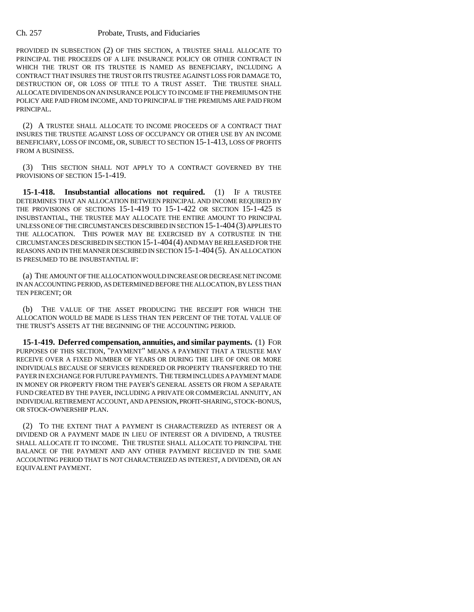PROVIDED IN SUBSECTION (2) OF THIS SECTION, A TRUSTEE SHALL ALLOCATE TO PRINCIPAL THE PROCEEDS OF A LIFE INSURANCE POLICY OR OTHER CONTRACT IN WHICH THE TRUST OR ITS TRUSTEE IS NAMED AS BENEFICIARY, INCLUDING A CONTRACT THAT INSURES THE TRUST OR ITS TRUSTEE AGAINST LOSS FOR DAMAGE TO, DESTRUCTION OF, OR LOSS OF TITLE TO A TRUST ASSET. THE TRUSTEE SHALL ALLOCATE DIVIDENDS ON AN INSURANCE POLICY TO INCOME IF THE PREMIUMS ON THE POLICY ARE PAID FROM INCOME, AND TO PRINCIPAL IF THE PREMIUMS ARE PAID FROM PRINCIPAL.

(2) A TRUSTEE SHALL ALLOCATE TO INCOME PROCEEDS OF A CONTRACT THAT INSURES THE TRUSTEE AGAINST LOSS OF OCCUPANCY OR OTHER USE BY AN INCOME BENEFICIARY, LOSS OF INCOME, OR, SUBJECT TO SECTION 15-1-413, LOSS OF PROFITS FROM A BUSINESS.

(3) THIS SECTION SHALL NOT APPLY TO A CONTRACT GOVERNED BY THE PROVISIONS OF SECTION 15-1-419.

**15-1-418. Insubstantial allocations not required.** (1) IF A TRUSTEE DETERMINES THAT AN ALLOCATION BETWEEN PRINCIPAL AND INCOME REQUIRED BY THE PROVISIONS OF SECTIONS 15-1-419 TO 15-1-422 OR SECTION 15-1-425 IS INSUBSTANTIAL, THE TRUSTEE MAY ALLOCATE THE ENTIRE AMOUNT TO PRINCIPAL UNLESS ONE OF THE CIRCUMSTANCES DESCRIBED IN SECTION 15-1-404 (3) APPLIES TO THE ALLOCATION. THIS POWER MAY BE EXERCISED BY A COTRUSTEE IN THE CIRCUMSTANCES DESCRIBED IN SECTION 15-1-404(4) AND MAY BE RELEASED FOR THE REASONS AND IN THE MANNER DESCRIBED IN SECTION 15-1-404 (5). AN ALLOCATION IS PRESUMED TO BE INSUBSTANTIAL IF:

(a) THE AMOUNT OF THE ALLOCATION WOULD INCREASE OR DECREASE NET INCOME IN AN ACCOUNTING PERIOD, AS DETERMINED BEFORE THE ALLOCATION, BY LESS THAN TEN PERCENT; OR

(b) THE VALUE OF THE ASSET PRODUCING THE RECEIPT FOR WHICH THE ALLOCATION WOULD BE MADE IS LESS THAN TEN PERCENT OF THE TOTAL VALUE OF THE TRUST'S ASSETS AT THE BEGINNING OF THE ACCOUNTING PERIOD.

**15-1-419. Deferred compensation, annuities, and similar payments.** (1) FOR PURPOSES OF THIS SECTION, "PAYMENT" MEANS A PAYMENT THAT A TRUSTEE MAY RECEIVE OVER A FIXED NUMBER OF YEARS OR DURING THE LIFE OF ONE OR MORE INDIVIDUALS BECAUSE OF SERVICES RENDERED OR PROPERTY TRANSFERRED TO THE PAYER IN EXCHANGE FOR FUTURE PAYMENTS. THE TERM INCLUDES A PAYMENT MADE IN MONEY OR PROPERTY FROM THE PAYER'S GENERAL ASSETS OR FROM A SEPARATE FUND CREATED BY THE PAYER, INCLUDING A PRIVATE OR COMMERCIAL ANNUITY, AN INDIVIDUAL RETIREMENT ACCOUNT, AND A PENSION, PROFIT-SHARING, STOCK-BONUS, OR STOCK-OWNERSHIP PLAN.

(2) TO THE EXTENT THAT A PAYMENT IS CHARACTERIZED AS INTEREST OR A DIVIDEND OR A PAYMENT MADE IN LIEU OF INTEREST OR A DIVIDEND, A TRUSTEE SHALL ALLOCATE IT TO INCOME. THE TRUSTEE SHALL ALLOCATE TO PRINCIPAL THE BALANCE OF THE PAYMENT AND ANY OTHER PAYMENT RECEIVED IN THE SAME ACCOUNTING PERIOD THAT IS NOT CHARACTERIZED AS INTEREST, A DIVIDEND, OR AN EQUIVALENT PAYMENT.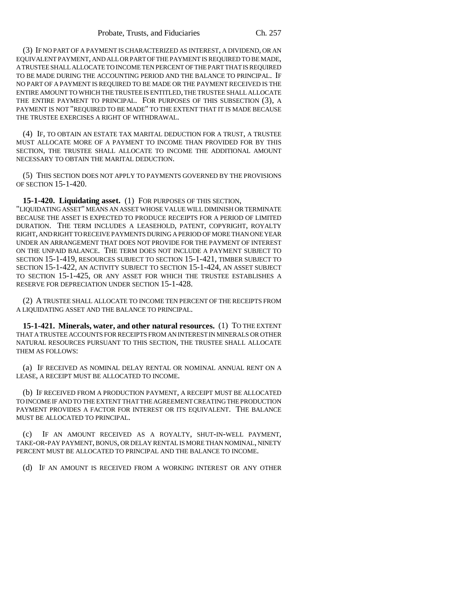(3) IF NO PART OF A PAYMENT IS CHARACTERIZED AS INTEREST, A DIVIDEND, OR AN EQUIVALENT PAYMENT, AND ALL OR PART OF THE PAYMENT IS REQUIRED TO BE MADE, A TRUSTEE SHALL ALLOCATE TO INCOME TEN PERCENT OF THE PART THAT IS REQUIRED TO BE MADE DURING THE ACCOUNTING PERIOD AND THE BALANCE TO PRINCIPAL. IF NO PART OF A PAYMENT IS REQUIRED TO BE MADE OR THE PAYMENT RECEIVED IS THE ENTIRE AMOUNT TO WHICH THE TRUSTEE IS ENTITLED, THE TRUSTEE SHALL ALLOCATE THE ENTIRE PAYMENT TO PRINCIPAL. FOR PURPOSES OF THIS SUBSECTION (3), A PAYMENT IS NOT "REQUIRED TO BE MADE" TO THE EXTENT THAT IT IS MADE BECAUSE THE TRUSTEE EXERCISES A RIGHT OF WITHDRAWAL.

(4) IF, TO OBTAIN AN ESTATE TAX MARITAL DEDUCTION FOR A TRUST, A TRUSTEE MUST ALLOCATE MORE OF A PAYMENT TO INCOME THAN PROVIDED FOR BY THIS SECTION, THE TRUSTEE SHALL ALLOCATE TO INCOME THE ADDITIONAL AMOUNT NECESSARY TO OBTAIN THE MARITAL DEDUCTION.

(5) THIS SECTION DOES NOT APPLY TO PAYMENTS GOVERNED BY THE PROVISIONS OF SECTION 15-1-420.

**15-1-420. Liquidating asset.** (1) FOR PURPOSES OF THIS SECTION, "LIQUIDATING ASSET" MEANS AN ASSET WHOSE VALUE WILL DIMINISH OR TERMINATE BECAUSE THE ASSET IS EXPECTED TO PRODUCE RECEIPTS FOR A PERIOD OF LIMITED DURATION. THE TERM INCLUDES A LEASEHOLD, PATENT, COPYRIGHT, ROYALTY RIGHT, AND RIGHT TO RECEIVE PAYMENTS DURING A PERIOD OF MORE THAN ONE YEAR UNDER AN ARRANGEMENT THAT DOES NOT PROVIDE FOR THE PAYMENT OF INTEREST ON THE UNPAID BALANCE. THE TERM DOES NOT INCLUDE A PAYMENT SUBJECT TO SECTION 15-1-419, RESOURCES SUBJECT TO SECTION 15-1-421, TIMBER SUBJECT TO SECTION 15-1-422, AN ACTIVITY SUBJECT TO SECTION 15-1-424, AN ASSET SUBJECT TO SECTION 15-1-425, OR ANY ASSET FOR WHICH THE TRUSTEE ESTABLISHES A RESERVE FOR DEPRECIATION UNDER SECTION 15-1-428.

(2) A TRUSTEE SHALL ALLOCATE TO INCOME TEN PERCENT OF THE RECEIPTS FROM A LIQUIDATING ASSET AND THE BALANCE TO PRINCIPAL.

**15-1-421. Minerals, water, and other natural resources.** (1) TO THE EXTENT THAT A TRUSTEE ACCOUNTS FOR RECEIPTS FROM AN INTEREST IN MINERALS OR OTHER NATURAL RESOURCES PURSUANT TO THIS SECTION, THE TRUSTEE SHALL ALLOCATE THEM AS FOLLOWS:

(a) IF RECEIVED AS NOMINAL DELAY RENTAL OR NOMINAL ANNUAL RENT ON A LEASE, A RECEIPT MUST BE ALLOCATED TO INCOME.

(b) IF RECEIVED FROM A PRODUCTION PAYMENT, A RECEIPT MUST BE ALLOCATED TO INCOME IF AND TO THE EXTENT THAT THE AGREEMENT CREATING THE PRODUCTION PAYMENT PROVIDES A FACTOR FOR INTEREST OR ITS EQUIVALENT. THE BALANCE MUST BE ALLOCATED TO PRINCIPAL.

(c) IF AN AMOUNT RECEIVED AS A ROYALTY, SHUT-IN-WELL PAYMENT, TAKE-OR-PAY PAYMENT, BONUS, OR DELAY RENTAL IS MORE THAN NOMINAL, NINETY PERCENT MUST BE ALLOCATED TO PRINCIPAL AND THE BALANCE TO INCOME.

(d) IF AN AMOUNT IS RECEIVED FROM A WORKING INTEREST OR ANY OTHER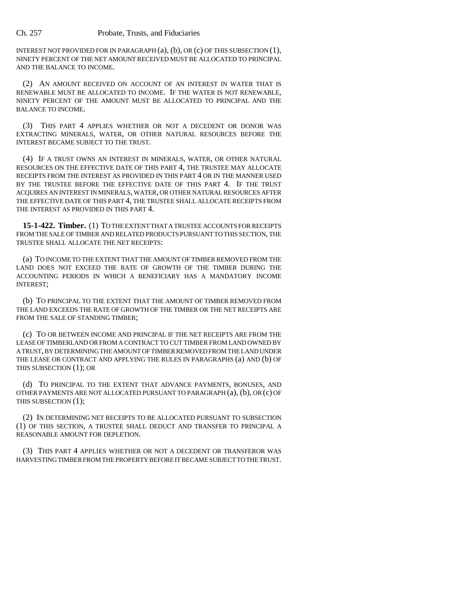INTEREST NOT PROVIDED FOR IN PARAGRAPH (a), (b), OR (c) OF THIS SUBSECTION (1), NINETY PERCENT OF THE NET AMOUNT RECEIVED MUST BE ALLOCATED TO PRINCIPAL AND THE BALANCE TO INCOME.

(2) AN AMOUNT RECEIVED ON ACCOUNT OF AN INTEREST IN WATER THAT IS RENEWABLE MUST BE ALLOCATED TO INCOME. IF THE WATER IS NOT RENEWABLE, NINETY PERCENT OF THE AMOUNT MUST BE ALLOCATED TO PRINCIPAL AND THE BALANCE TO INCOME.

(3) THIS PART 4 APPLIES WHETHER OR NOT A DECEDENT OR DONOR WAS EXTRACTING MINERALS, WATER, OR OTHER NATURAL RESOURCES BEFORE THE INTEREST BECAME SUBJECT TO THE TRUST.

(4) IF A TRUST OWNS AN INTEREST IN MINERALS, WATER, OR OTHER NATURAL RESOURCES ON THE EFFECTIVE DATE OF THIS PART 4, THE TRUSTEE MAY ALLOCATE RECEIPTS FROM THE INTEREST AS PROVIDED IN THIS PART 4 OR IN THE MANNER USED BY THE TRUSTEE BEFORE THE EFFECTIVE DATE OF THIS PART 4. IF THE TRUST ACQUIRES AN INTEREST IN MINERALS, WATER, OR OTHER NATURAL RESOURCES AFTER THE EFFECTIVE DATE OF THIS PART 4, THE TRUSTEE SHALL ALLOCATE RECEIPTS FROM THE INTEREST AS PROVIDED IN THIS PART 4.

**15-1-422. Timber.** (1) TO THE EXTENT THAT A TRUSTEE ACCOUNTS FOR RECEIPTS FROM THE SALE OF TIMBER AND RELATED PRODUCTS PURSUANT TO THIS SECTION, THE TRUSTEE SHALL ALLOCATE THE NET RECEIPTS:

(a) TO INCOME TO THE EXTENT THAT THE AMOUNT OF TIMBER REMOVED FROM THE LAND DOES NOT EXCEED THE RATE OF GROWTH OF THE TIMBER DURING THE ACCOUNTING PERIODS IN WHICH A BENEFICIARY HAS A MANDATORY INCOME INTEREST;

(b) TO PRINCIPAL TO THE EXTENT THAT THE AMOUNT OF TIMBER REMOVED FROM THE LAND EXCEEDS THE RATE OF GROWTH OF THE TIMBER OR THE NET RECEIPTS ARE FROM THE SALE OF STANDING TIMBER;

(c) TO OR BETWEEN INCOME AND PRINCIPAL IF THE NET RECEIPTS ARE FROM THE LEASE OF TIMBERLAND OR FROM A CONTRACT TO CUT TIMBER FROM LAND OWNED BY A TRUST, BY DETERMINING THE AMOUNT OF TIMBER REMOVED FROM THE LAND UNDER THE LEASE OR CONTRACT AND APPLYING THE RULES IN PARAGRAPHS (a) AND (b) OF THIS SUBSECTION (1); OR

(d) TO PRINCIPAL TO THE EXTENT THAT ADVANCE PAYMENTS, BONUSES, AND OTHER PAYMENTS ARE NOT ALLOCATED PURSUANT TO PARAGRAPH (a), (b), OR (c) OF THIS SUBSECTION (1);

(2) IN DETERMINING NET RECEIPTS TO BE ALLOCATED PURSUANT TO SUBSECTION (1) OF THIS SECTION, A TRUSTEE SHALL DEDUCT AND TRANSFER TO PRINCIPAL A REASONABLE AMOUNT FOR DEPLETION.

(3) THIS PART 4 APPLIES WHETHER OR NOT A DECEDENT OR TRANSFEROR WAS HARVESTING TIMBER FROM THE PROPERTY BEFORE IT BECAME SUBJECT TO THE TRUST.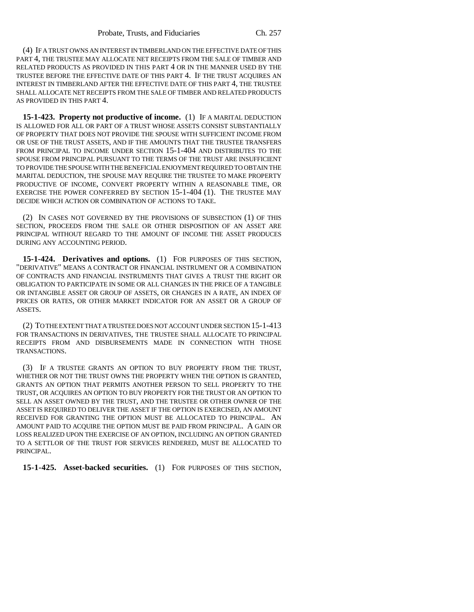(4) IF A TRUST OWNS AN INTEREST IN TIMBERLAND ON THE EFFECTIVE DATE OF THIS PART 4, THE TRUSTEE MAY ALLOCATE NET RECEIPTS FROM THE SALE OF TIMBER AND RELATED PRODUCTS AS PROVIDED IN THIS PART 4 OR IN THE MANNER USED BY THE TRUSTEE BEFORE THE EFFECTIVE DATE OF THIS PART 4. IF THE TRUST ACQUIRES AN INTEREST IN TIMBERLAND AFTER THE EFFECTIVE DATE OF THIS PART 4, THE TRUSTEE SHALL ALLOCATE NET RECEIPTS FROM THE SALE OF TIMBER AND RELATED PRODUCTS AS PROVIDED IN THIS PART 4.

**15-1-423. Property not productive of income.** (1) IF A MARITAL DEDUCTION IS ALLOWED FOR ALL OR PART OF A TRUST WHOSE ASSETS CONSIST SUBSTANTIALLY OF PROPERTY THAT DOES NOT PROVIDE THE SPOUSE WITH SUFFICIENT INCOME FROM OR USE OF THE TRUST ASSETS, AND IF THE AMOUNTS THAT THE TRUSTEE TRANSFERS FROM PRINCIPAL TO INCOME UNDER SECTION 15-1-404 AND DISTRIBUTES TO THE SPOUSE FROM PRINCIPAL PURSUANT TO THE TERMS OF THE TRUST ARE INSUFFICIENT TO PROVIDE THE SPOUSE WITH THE BENEFICIAL ENJOYMENT REQUIRED TO OBTAIN THE MARITAL DEDUCTION, THE SPOUSE MAY REQUIRE THE TRUSTEE TO MAKE PROPERTY PRODUCTIVE OF INCOME, CONVERT PROPERTY WITHIN A REASONABLE TIME, OR EXERCISE THE POWER CONFERRED BY SECTION 15-1-404 (1). THE TRUSTEE MAY DECIDE WHICH ACTION OR COMBINATION OF ACTIONS TO TAKE.

(2) IN CASES NOT GOVERNED BY THE PROVISIONS OF SUBSECTION (1) OF THIS SECTION, PROCEEDS FROM THE SALE OR OTHER DISPOSITION OF AN ASSET ARE PRINCIPAL WITHOUT REGARD TO THE AMOUNT OF INCOME THE ASSET PRODUCES DURING ANY ACCOUNTING PERIOD.

**15-1-424. Derivatives and options.** (1) FOR PURPOSES OF THIS SECTION, "DERIVATIVE" MEANS A CONTRACT OR FINANCIAL INSTRUMENT OR A COMBINATION OF CONTRACTS AND FINANCIAL INSTRUMENTS THAT GIVES A TRUST THE RIGHT OR OBLIGATION TO PARTICIPATE IN SOME OR ALL CHANGES IN THE PRICE OF A TANGIBLE OR INTANGIBLE ASSET OR GROUP OF ASSETS, OR CHANGES IN A RATE, AN INDEX OF PRICES OR RATES, OR OTHER MARKET INDICATOR FOR AN ASSET OR A GROUP OF ASSETS.

(2) TO THE EXTENT THAT A TRUSTEE DOES NOT ACCOUNT UNDER SECTION 15-1-413 FOR TRANSACTIONS IN DERIVATIVES, THE TRUSTEE SHALL ALLOCATE TO PRINCIPAL RECEIPTS FROM AND DISBURSEMENTS MADE IN CONNECTION WITH THOSE TRANSACTIONS.

(3) IF A TRUSTEE GRANTS AN OPTION TO BUY PROPERTY FROM THE TRUST, WHETHER OR NOT THE TRUST OWNS THE PROPERTY WHEN THE OPTION IS GRANTED, GRANTS AN OPTION THAT PERMITS ANOTHER PERSON TO SELL PROPERTY TO THE TRUST, OR ACQUIRES AN OPTION TO BUY PROPERTY FOR THE TRUST OR AN OPTION TO SELL AN ASSET OWNED BY THE TRUST, AND THE TRUSTEE OR OTHER OWNER OF THE ASSET IS REQUIRED TO DELIVER THE ASSET IF THE OPTION IS EXERCISED, AN AMOUNT RECEIVED FOR GRANTING THE OPTION MUST BE ALLOCATED TO PRINCIPAL. AN AMOUNT PAID TO ACQUIRE THE OPTION MUST BE PAID FROM PRINCIPAL. A GAIN OR LOSS REALIZED UPON THE EXERCISE OF AN OPTION, INCLUDING AN OPTION GRANTED TO A SETTLOR OF THE TRUST FOR SERVICES RENDERED, MUST BE ALLOCATED TO PRINCIPAL.

**15-1-425. Asset-backed securities.** (1) FOR PURPOSES OF THIS SECTION,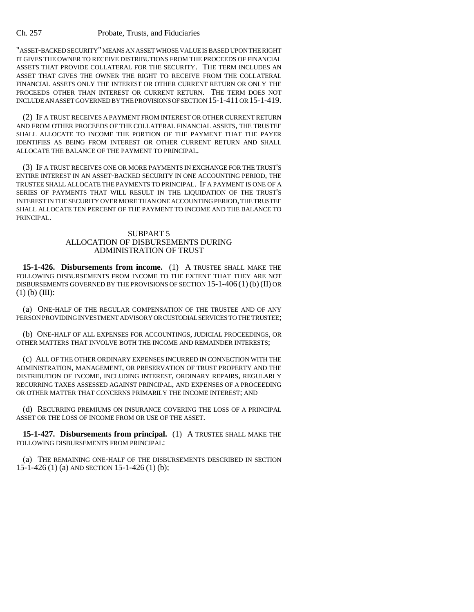"ASSET-BACKED SECURITY" MEANS AN ASSET WHOSE VALUE IS BASED UPON THE RIGHT IT GIVES THE OWNER TO RECEIVE DISTRIBUTIONS FROM THE PROCEEDS OF FINANCIAL ASSETS THAT PROVIDE COLLATERAL FOR THE SECURITY. THE TERM INCLUDES AN ASSET THAT GIVES THE OWNER THE RIGHT TO RECEIVE FROM THE COLLATERAL FINANCIAL ASSETS ONLY THE INTEREST OR OTHER CURRENT RETURN OR ONLY THE PROCEEDS OTHER THAN INTEREST OR CURRENT RETURN. THE TERM DOES NOT INCLUDE AN ASSET GOVERNED BY THE PROVISIONS OF SECTION 15-1-411 OR 15-1-419.

(2) IF A TRUST RECEIVES A PAYMENT FROM INTEREST OR OTHER CURRENT RETURN AND FROM OTHER PROCEEDS OF THE COLLATERAL FINANCIAL ASSETS, THE TRUSTEE SHALL ALLOCATE TO INCOME THE PORTION OF THE PAYMENT THAT THE PAYER IDENTIFIES AS BEING FROM INTEREST OR OTHER CURRENT RETURN AND SHALL ALLOCATE THE BALANCE OF THE PAYMENT TO PRINCIPAL.

(3) IF A TRUST RECEIVES ONE OR MORE PAYMENTS IN EXCHANGE FOR THE TRUST'S ENTIRE INTEREST IN AN ASSET-BACKED SECURITY IN ONE ACCOUNTING PERIOD, THE TRUSTEE SHALL ALLOCATE THE PAYMENTS TO PRINCIPAL. IF A PAYMENT IS ONE OF A SERIES OF PAYMENTS THAT WILL RESULT IN THE LIQUIDATION OF THE TRUST'S INTEREST IN THE SECURITY OVER MORE THAN ONE ACCOUNTING PERIOD, THE TRUSTEE SHALL ALLOCATE TEN PERCENT OF THE PAYMENT TO INCOME AND THE BALANCE TO PRINCIPAL.

## SUBPART 5 ALLOCATION OF DISBURSEMENTS DURING ADMINISTRATION OF TRUST

**15-1-426. Disbursements from income.** (1) A TRUSTEE SHALL MAKE THE FOLLOWING DISBURSEMENTS FROM INCOME TO THE EXTENT THAT THEY ARE NOT DISBURSEMENTS GOVERNED BY THE PROVISIONS OF SECTION 15-1-406 (1) (b) (II) OR  $(1)$  (b) (III):

(a) ONE-HALF OF THE REGULAR COMPENSATION OF THE TRUSTEE AND OF ANY PERSON PROVIDING INVESTMENT ADVISORY OR CUSTODIAL SERVICES TO THE TRUSTEE;

(b) ONE-HALF OF ALL EXPENSES FOR ACCOUNTINGS, JUDICIAL PROCEEDINGS, OR OTHER MATTERS THAT INVOLVE BOTH THE INCOME AND REMAINDER INTERESTS;

(c) ALL OF THE OTHER ORDINARY EXPENSES INCURRED IN CONNECTION WITH THE ADMINISTRATION, MANAGEMENT, OR PRESERVATION OF TRUST PROPERTY AND THE DISTRIBUTION OF INCOME, INCLUDING INTEREST, ORDINARY REPAIRS, REGULARLY RECURRING TAXES ASSESSED AGAINST PRINCIPAL, AND EXPENSES OF A PROCEEDING OR OTHER MATTER THAT CONCERNS PRIMARILY THE INCOME INTEREST; AND

(d) RECURRING PREMIUMS ON INSURANCE COVERING THE LOSS OF A PRINCIPAL ASSET OR THE LOSS OF INCOME FROM OR USE OF THE ASSET.

**15-1-427. Disbursements from principal.** (1) A TRUSTEE SHALL MAKE THE FOLLOWING DISBURSEMENTS FROM PRINCIPAL:

(a) THE REMAINING ONE-HALF OF THE DISBURSEMENTS DESCRIBED IN SECTION 15-1-426 (1) (a) AND SECTION 15-1-426 (1) (b);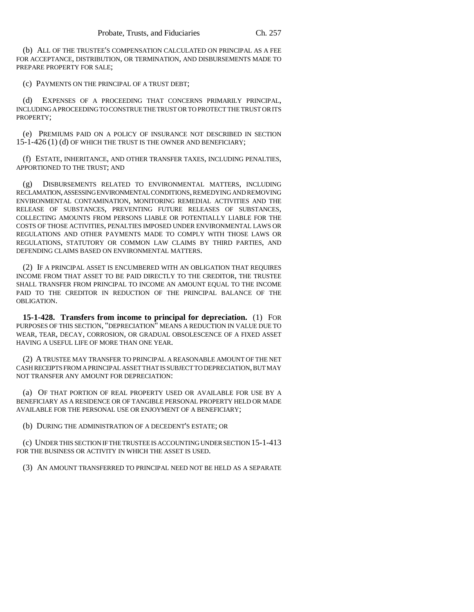(b) ALL OF THE TRUSTEE'S COMPENSATION CALCULATED ON PRINCIPAL AS A FEE FOR ACCEPTANCE, DISTRIBUTION, OR TERMINATION, AND DISBURSEMENTS MADE TO PREPARE PROPERTY FOR SALE;

(c) PAYMENTS ON THE PRINCIPAL OF A TRUST DEBT;

(d) EXPENSES OF A PROCEEDING THAT CONCERNS PRIMARILY PRINCIPAL, INCLUDING A PROCEEDING TO CONSTRUE THE TRUST OR TO PROTECT THE TRUST OR ITS PROPERTY;

(e) PREMIUMS PAID ON A POLICY OF INSURANCE NOT DESCRIBED IN SECTION 15-1-426 (1) (d) OF WHICH THE TRUST IS THE OWNER AND BENEFICIARY;

(f) ESTATE, INHERITANCE, AND OTHER TRANSFER TAXES, INCLUDING PENALTIES, APPORTIONED TO THE TRUST; AND

(g) DISBURSEMENTS RELATED TO ENVIRONMENTAL MATTERS, INCLUDING RECLAMATION, ASSESSING ENVIRONMENTAL CONDITIONS, REMEDYING AND REMOVING ENVIRONMENTAL CONTAMINATION, MONITORING REMEDIAL ACTIVITIES AND THE RELEASE OF SUBSTANCES, PREVENTING FUTURE RELEASES OF SUBSTANCES, COLLECTING AMOUNTS FROM PERSONS LIABLE OR POTENTIALLY LIABLE FOR THE COSTS OF THOSE ACTIVITIES, PENALTIES IMPOSED UNDER ENVIRONMENTAL LAWS OR REGULATIONS AND OTHER PAYMENTS MADE TO COMPLY WITH THOSE LAWS OR REGULATIONS, STATUTORY OR COMMON LAW CLAIMS BY THIRD PARTIES, AND DEFENDING CLAIMS BASED ON ENVIRONMENTAL MATTERS.

(2) IF A PRINCIPAL ASSET IS ENCUMBERED WITH AN OBLIGATION THAT REQUIRES INCOME FROM THAT ASSET TO BE PAID DIRECTLY TO THE CREDITOR, THE TRUSTEE SHALL TRANSFER FROM PRINCIPAL TO INCOME AN AMOUNT EQUAL TO THE INCOME PAID TO THE CREDITOR IN REDUCTION OF THE PRINCIPAL BALANCE OF THE OBLIGATION.

**15-1-428. Transfers from income to principal for depreciation.** (1) FOR PURPOSES OF THIS SECTION, "DEPRECIATION" MEANS A REDUCTION IN VALUE DUE TO WEAR, TEAR, DECAY, CORROSION, OR GRADUAL OBSOLESCENCE OF A FIXED ASSET HAVING A USEFUL LIFE OF MORE THAN ONE YEAR.

(2) A TRUSTEE MAY TRANSFER TO PRINCIPAL A REASONABLE AMOUNT OF THE NET CASH RECEIPTS FROM A PRINCIPAL ASSET THAT IS SUBJECT TO DEPRECIATION, BUT MAY NOT TRANSFER ANY AMOUNT FOR DEPRECIATION:

(a) OF THAT PORTION OF REAL PROPERTY USED OR AVAILABLE FOR USE BY A BENEFICIARY AS A RESIDENCE OR OF TANGIBLE PERSONAL PROPERTY HELD OR MADE AVAILABLE FOR THE PERSONAL USE OR ENJOYMENT OF A BENEFICIARY;

(b) DURING THE ADMINISTRATION OF A DECEDENT'S ESTATE; OR

(c) UNDER THIS SECTION IF THE TRUSTEE IS ACCOUNTING UNDER SECTION 15-1-413 FOR THE BUSINESS OR ACTIVITY IN WHICH THE ASSET IS USED.

(3) AN AMOUNT TRANSFERRED TO PRINCIPAL NEED NOT BE HELD AS A SEPARATE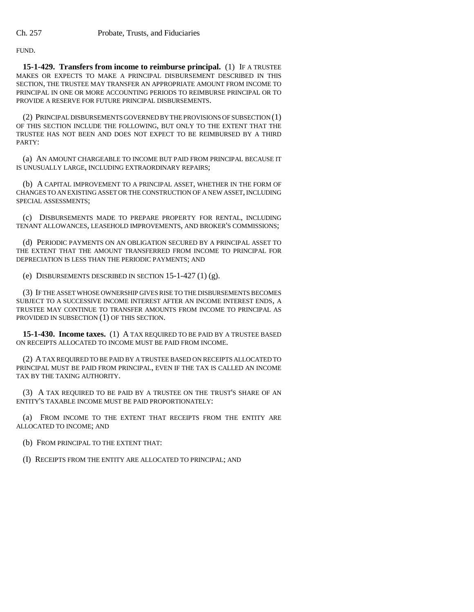FUND.

**15-1-429. Transfers from income to reimburse principal.** (1) IF A TRUSTEE MAKES OR EXPECTS TO MAKE A PRINCIPAL DISBURSEMENT DESCRIBED IN THIS SECTION, THE TRUSTEE MAY TRANSFER AN APPROPRIATE AMOUNT FROM INCOME TO PRINCIPAL IN ONE OR MORE ACCOUNTING PERIODS TO REIMBURSE PRINCIPAL OR TO PROVIDE A RESERVE FOR FUTURE PRINCIPAL DISBURSEMENTS.

(2) PRINCIPAL DISBURSEMENTS GOVERNED BY THE PROVISIONS OF SUBSECTION (1) OF THIS SECTION INCLUDE THE FOLLOWING, BUT ONLY TO THE EXTENT THAT THE TRUSTEE HAS NOT BEEN AND DOES NOT EXPECT TO BE REIMBURSED BY A THIRD PARTY:

(a) AN AMOUNT CHARGEABLE TO INCOME BUT PAID FROM PRINCIPAL BECAUSE IT IS UNUSUALLY LARGE, INCLUDING EXTRAORDINARY REPAIRS;

(b) A CAPITAL IMPROVEMENT TO A PRINCIPAL ASSET, WHETHER IN THE FORM OF CHANGES TO AN EXISTING ASSET OR THE CONSTRUCTION OF A NEW ASSET, INCLUDING SPECIAL ASSESSMENTS;

(c) DISBURSEMENTS MADE TO PREPARE PROPERTY FOR RENTAL, INCLUDING TENANT ALLOWANCES, LEASEHOLD IMPROVEMENTS, AND BROKER'S COMMISSIONS;

(d) PERIODIC PAYMENTS ON AN OBLIGATION SECURED BY A PRINCIPAL ASSET TO THE EXTENT THAT THE AMOUNT TRANSFERRED FROM INCOME TO PRINCIPAL FOR DEPRECIATION IS LESS THAN THE PERIODIC PAYMENTS; AND

(e) DISBURSEMENTS DESCRIBED IN SECTION  $15$ -1-427  $(1)$  (g).

(3) IF THE ASSET WHOSE OWNERSHIP GIVES RISE TO THE DISBURSEMENTS BECOMES SUBJECT TO A SUCCESSIVE INCOME INTEREST AFTER AN INCOME INTEREST ENDS, A TRUSTEE MAY CONTINUE TO TRANSFER AMOUNTS FROM INCOME TO PRINCIPAL AS PROVIDED IN SUBSECTION (1) OF THIS SECTION.

**15-1-430. Income taxes.** (1) A TAX REQUIRED TO BE PAID BY A TRUSTEE BASED ON RECEIPTS ALLOCATED TO INCOME MUST BE PAID FROM INCOME.

(2) A TAX REQUIRED TO BE PAID BY A TRUSTEE BASED ON RECEIPTS ALLOCATED TO PRINCIPAL MUST BE PAID FROM PRINCIPAL, EVEN IF THE TAX IS CALLED AN INCOME TAX BY THE TAXING AUTHORITY.

(3) A TAX REQUIRED TO BE PAID BY A TRUSTEE ON THE TRUST'S SHARE OF AN ENTITY'S TAXABLE INCOME MUST BE PAID PROPORTIONATELY:

(a) FROM INCOME TO THE EXTENT THAT RECEIPTS FROM THE ENTITY ARE ALLOCATED TO INCOME; AND

(b) FROM PRINCIPAL TO THE EXTENT THAT:

(I) RECEIPTS FROM THE ENTITY ARE ALLOCATED TO PRINCIPAL; AND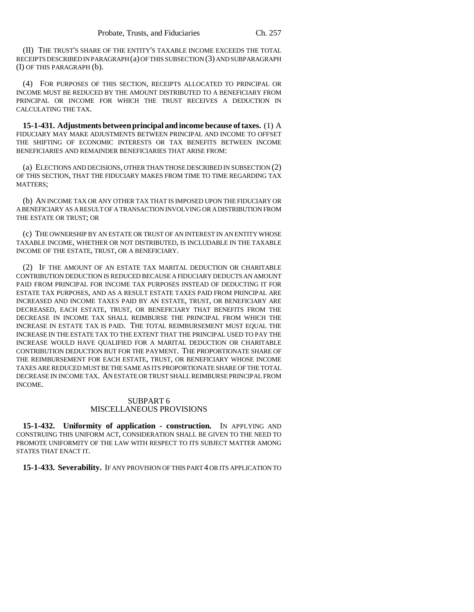(II) THE TRUST'S SHARE OF THE ENTITY'S TAXABLE INCOME EXCEEDS THE TOTAL RECEIPTS DESCRIBED IN PARAGRAPH (a) OF THIS SUBSECTION (3) AND SUBPARAGRAPH (I) OF THIS PARAGRAPH (b).

(4) FOR PURPOSES OF THIS SECTION, RECEIPTS ALLOCATED TO PRINCIPAL OR INCOME MUST BE REDUCED BY THE AMOUNT DISTRIBUTED TO A BENEFICIARY FROM PRINCIPAL OR INCOME FOR WHICH THE TRUST RECEIVES A DEDUCTION IN CALCULATING THE TAX.

**15-1-431. Adjustments between principal and income because of taxes.** (1) A FIDUCIARY MAY MAKE ADJUSTMENTS BETWEEN PRINCIPAL AND INCOME TO OFFSET THE SHIFTING OF ECONOMIC INTERESTS OR TAX BENEFITS BETWEEN INCOME BENEFICIARIES AND REMAINDER BENEFICIARIES THAT ARISE FROM:

(a) ELECTIONS AND DECISIONS, OTHER THAN THOSE DESCRIBED IN SUBSECTION (2) OF THIS SECTION, THAT THE FIDUCIARY MAKES FROM TIME TO TIME REGARDING TAX MATTERS;

(b) AN INCOME TAX OR ANY OTHER TAX THAT IS IMPOSED UPON THE FIDUCIARY OR A BENEFICIARY AS A RESULT OF A TRANSACTION INVOLVING OR A DISTRIBUTION FROM THE ESTATE OR TRUST; OR

(c) THE OWNERSHIP BY AN ESTATE OR TRUST OF AN INTEREST IN AN ENTITY WHOSE TAXABLE INCOME, WHETHER OR NOT DISTRIBUTED, IS INCLUDABLE IN THE TAXABLE INCOME OF THE ESTATE, TRUST, OR A BENEFICIARY.

(2) IF THE AMOUNT OF AN ESTATE TAX MARITAL DEDUCTION OR CHARITABLE CONTRIBUTION DEDUCTION IS REDUCED BECAUSE A FIDUCIARY DEDUCTS AN AMOUNT PAID FROM PRINCIPAL FOR INCOME TAX PURPOSES INSTEAD OF DEDUCTING IT FOR ESTATE TAX PURPOSES, AND AS A RESULT ESTATE TAXES PAID FROM PRINCIPAL ARE INCREASED AND INCOME TAXES PAID BY AN ESTATE, TRUST, OR BENEFICIARY ARE DECREASED, EACH ESTATE, TRUST, OR BENEFICIARY THAT BENEFITS FROM THE DECREASE IN INCOME TAX SHALL REIMBURSE THE PRINCIPAL FROM WHICH THE INCREASE IN ESTATE TAX IS PAID. THE TOTAL REIMBURSEMENT MUST EQUAL THE INCREASE IN THE ESTATE TAX TO THE EXTENT THAT THE PRINCIPAL USED TO PAY THE INCREASE WOULD HAVE QUALIFIED FOR A MARITAL DEDUCTION OR CHARITABLE CONTRIBUTION DEDUCTION BUT FOR THE PAYMENT. THE PROPORTIONATE SHARE OF THE REIMBURSEMENT FOR EACH ESTATE, TRUST, OR BENEFICIARY WHOSE INCOME TAXES ARE REDUCED MUST BE THE SAME AS ITS PROPORTIONATE SHARE OF THE TOTAL DECREASE IN INCOME TAX. AN ESTATE OR TRUST SHALL REIMBURSE PRINCIPAL FROM INCOME.

## SUBPART 6 MISCELLANEOUS PROVISIONS

**15-1-432. Uniformity of application - construction.** IN APPLYING AND CONSTRUING THIS UNIFORM ACT, CONSIDERATION SHALL BE GIVEN TO THE NEED TO PROMOTE UNIFORMITY OF THE LAW WITH RESPECT TO ITS SUBJECT MATTER AMONG STATES THAT ENACT IT.

**15-1-433. Severability.** IF ANY PROVISION OF THIS PART 4 OR ITS APPLICATION TO